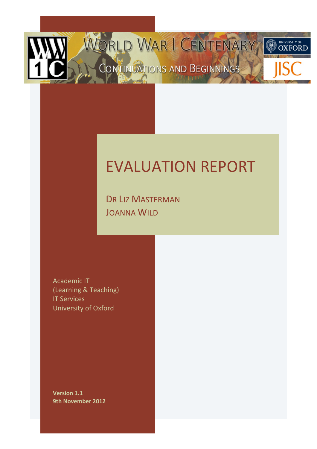

# **EVALUATION REPORT**

DR LIZ MASTERMAN JOANNA WILD

**Academic IT** (Learning & Teaching) **IT Services** University!of!Oxford

**Version 1.1 9th November 2012**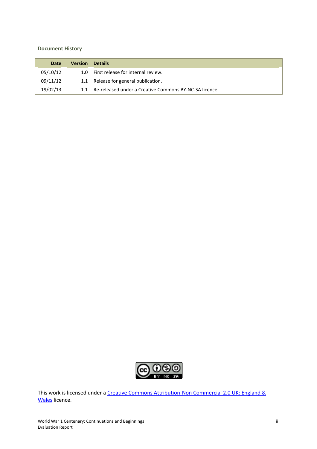#### **Document History**

| Date     | <b>Version</b> | <b>Details</b>                                         |
|----------|----------------|--------------------------------------------------------|
| 05/10/12 |                | 1.0 First release for internal review.                 |
| 09/11/12 |                | 1.1 Release for general publication.                   |
| 19/02/13 | 11             | Re-released under a Creative Commons BY-NC-SA licence. |



This work is licensed under a Creative Commons Attribution-Non Commercial 2.0 UK: England & Wales licence.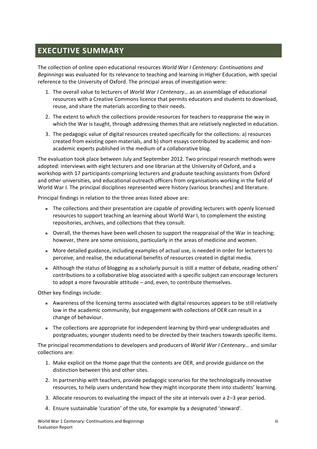# **EXECUTIVE SUMMARY**

The collection of online open educational resources *World War I Centenary: Continuations and* Beginnings was evaluated for its relevance to teaching and learning in Higher Education, with special reference to the University of Oxford. The principal areas of investigation were:

- 1. The overall value to lecturers of *World War I Centenary...* as an assemblage of educational resources with a Creative Commons licence that permits educators and students to download, reuse, and share the materials according to their needs.
- 2. The extent to which the collections provide resources for teachers to reappraise the way in which the War is taught, through addressing themes that are relatively neglected in education.
- 3. The pedagogic value of digital resources created specifically for the collections: a) resources created from existing open materials, and b) short essays contributed by academic and nonacademic experts published in the medium of a collaborative blog.

The evaluation took place between July and September 2012. Two principal research methods were adopted: interviews with eight lecturers and one librarian at the University of Oxford, and a workshop with 17 participants comprising lecturers and graduate teaching assistants from Oxford and other universities, and educational outreach officers from organisations working in the field of World War I. The principal disciplines represented were history (various branches) and literature.

Principal findings in relation to the three areas listed above are:

- The collections and their presentation are capable of providing lecturers with openly licensed resources to support teaching an learning about World War I, to complement the existing repositories, archives, and collections that they consult.
- Overall, the themes have been well chosen to support the reappraisal of the War in teaching; however, there are some omissions, particularly in the areas of medicine and women.
- More detailed guidance, including examples of actual use, is needed in order for lecturers to perceive, and realise, the educational benefits of resources created in digital media.
- Although the status of blogging as a scholarly pursuit is still a matter of debate, reading others' contributions to a collaborative blog associated with a specific subject can encourage lecturers to adopt a more favourable attitude – and, even, to contribute themselves.

Other key findings include:

- Awareness of the licensing terms associated with digital resources appears to be still relatively low in the academic community, but engagement with collections of OER can result in a change of behaviour.
- The collections are appropriate for independent learning by third-year undergraduates and postgraduates; younger students need to be directed by their teachers towards specific items.

The principal recommendations to developers and producers of *World War I Centenary...* and similar collections are:

- 1. Make explicit on the Home page that the contents are OER, and provide guidance on the distinction between this and other sites.
- 2. In partnership with teachers, provide pedagogic scenarios for the technologically innovative resources, to help users understand how they might incorporate them into students' learning.
- 3. Allocate resources to evaluating the impact of the site at intervals over a  $2-3$  year period.
- 4. Ensure sustainable 'curation' of the site, for example by a designated 'steward'.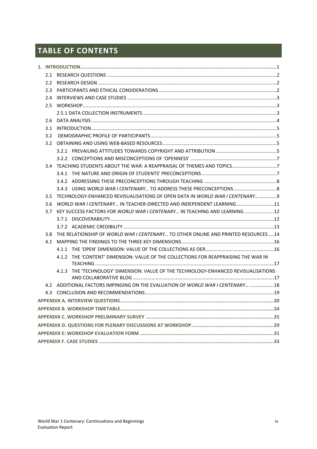# **TABLE OF CONTENTS**

| 2.2              |                                                                                     |  |  |
|------------------|-------------------------------------------------------------------------------------|--|--|
| 2.3              |                                                                                     |  |  |
| $2.4^{\circ}$    |                                                                                     |  |  |
| 2.5              |                                                                                     |  |  |
|                  |                                                                                     |  |  |
| 2.6              |                                                                                     |  |  |
| 3.1              |                                                                                     |  |  |
| 3.2              |                                                                                     |  |  |
| 3.2              |                                                                                     |  |  |
|                  |                                                                                     |  |  |
|                  |                                                                                     |  |  |
|                  | 3.4 TEACHING STUDENTS ABOUT THE WAR: A REAPPRAISAL OF THEMES AND TOPICS7            |  |  |
|                  |                                                                                     |  |  |
|                  |                                                                                     |  |  |
|                  | 3.4.3 USING WORLD WAR I CENTENARY TO ADDRESS THESE PRECONCEPTIONS  8                |  |  |
| 3.5              | TECHNOLOGY-ENHANCED REVISUALISATIONS OF OPEN DATA IN WORLD WAR I CENTENARY  9       |  |  |
| 3.6              | WORLD WAR I CENTENARY IN TEACHER-DIRECTED AND INDEPENDENT LEARNING11                |  |  |
| 3.7              | KEY SUCCESS FACTORS FOR WORLD WAR I CENTENARY IN TEACHING AND LEARNING 12           |  |  |
|                  |                                                                                     |  |  |
|                  |                                                                                     |  |  |
| 3.8 <sup>2</sup> | THE RELATIONSHIP OF WORLD WAR I CENTENARY TO OTHER ONLINE AND PRINTED RESOURCES  14 |  |  |
| 4.1              |                                                                                     |  |  |
|                  |                                                                                     |  |  |
|                  | 4.1.2 THE 'CONTENT' DIMENSION: VALUE OF THE COLLECTIONS FOR REAPPRAISING THE WAR IN |  |  |
|                  | 4.1.3 THE 'TECHNOLOGY' DIMENSION: VALUE OF THE TECHNOLOGY-ENHANCED REVISUALISATIONS |  |  |
|                  |                                                                                     |  |  |
|                  | 4.2 ADDITIONAL FACTORS IMPINGING ON THE EVALUATION OF WORLD WAR I CENTENARY 18      |  |  |
|                  |                                                                                     |  |  |
|                  |                                                                                     |  |  |
|                  |                                                                                     |  |  |
|                  |                                                                                     |  |  |
|                  |                                                                                     |  |  |
|                  |                                                                                     |  |  |
|                  |                                                                                     |  |  |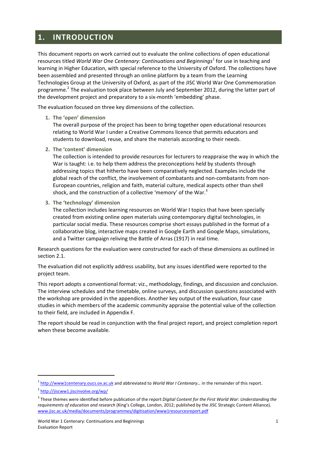# **1. INTRODUCTION**

This document reports on work carried out to evaluate the online collections of open educational resources titled *World War One Centenary: Continuations and Beginnings<sup>1</sup> for use in teaching and* learning in Higher Education, with special reference to the University of Oxford. The collections have been assembled and presented through an online platform by a team from the Learning Technologies Group at the University of Oxford, as part of the JISC World War One Commemoration programme.<sup>2</sup> The evaluation took place between July and September 2012, during the latter part of the development project and preparatory to a six-month 'embedding' phase.

The evaluation focused on three key dimensions of the collection.

#### **1.** The 'open' dimension

The overall purpose of the project has been to bring together open educational resources relating to World War I under a Creative Commons licence that permits educators and students to download, reuse, and share the materials according to their needs.

**2.** The 'content' dimension

The collection is intended to provide resources for lecturers to reappraise the way in which the War is taught: i.e. to help them address the preconceptions held by students through addressing topics that hitherto have been comparatively neglected. Examples include the global reach of the conflict, the involvement of combatants and non-combatants from non-European countries, religion and faith, material culture, medical aspects other than shell shock, and the construction of a collective 'memory' of the War.<sup>3</sup>

**3.** The 'technology' dimension

The collection includes learning resources on World War I topics that have been specially created from existing online open materials using contemporary digital technologies, in particular social media. These resources comprise short essays published in the format of a collaborative blog, interactive maps created in Google Earth and Google Maps, simulations, and a Twitter campaign reliving the Battle of Arras (1917) in real time.

Research questions for the evaluation were constructed for each of these dimensions as outlined in section 2.1.

The evaluation did not explicitly address usability, but any issues identified were reported to the project team.

This report adopts a conventional format: viz., methodology, findings, and discussion and conclusion. The interview schedules and the timetable, online surveys, and discussion questions associated with the workshop are provided in the appendices. Another key output of the evaluation, four case studies in which members of the academic community appraise the potential value of the collection to their field, are included in Appendix F.

The report should be read in conjunction with the final project report, and project completion report when these become available.

<sup>&</sup>lt;sup>1</sup> http://www1centenary.oucs.ox.ac.uk and abbreviated to *World War I Centenary...* in the remainder of this report.

<sup>&</sup>lt;sup>2</sup> <http://jiscww1.jiscinvolve.org/wp/>

<sup>&</sup>lt;sup>3</sup> These themes were identified before publication of the report *Digital Content for the First World War: Understanding the requirements of education and research* (King's College, London, 2012; published by the JISC Strategic Content Alliance). [www.jisc.ac.uk/media/documents/programmes/digitisation/www1resourcesreport.pdf](http://www.jisc.ac.uk/media/documents/programmes/digitisation/www1resourcesreport.pdf)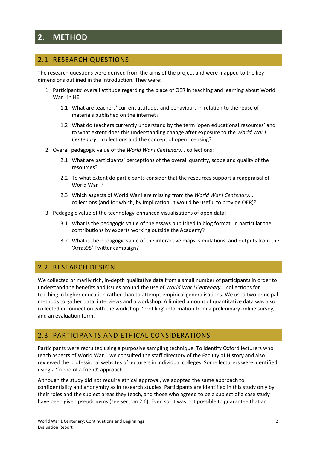# **2. METHOD**

# 2.1 RESEARCH QUESTIONS

The research questions were derived from the aims of the project and were mapped to the key dimensions outlined in the Introduction. They were:

- 1. Participants' overall attitude regarding the place of OER in teaching and learning about World  $War$  I in  $HF$ 
	- 1.1 What are teachers' current attitudes and behaviours in relation to the reuse of materials published on the internet?
	- 1.2 What do teachers currently understand by the term 'open educational resources' and to what extent does this understanding change after exposure to the *World War I Centenary...* collections and the concept of open licensing?
- 2. Overall pedagogic value of the *World War I Centenary...* collections:
	- 2.1 What are participants' perceptions of the overall quantity, scope and quality of the resources?
	- 2.2 To what extent do participants consider that the resources support a reappraisal of World War I?
	- 2.3 Which aspects of World War I are missing from the *World War I Centenary...* collections (and for which, by implication, it would be useful to provide OER)?
- 3. Pedagogic value of the technology-enhanced visualisations of open data:
	- 3.1 What is the pedagogic value of the essays published in blog format, in particular the contributions by experts working outside the Academy?
	- 3.2 What is the pedagogic value of the interactive maps, simulations, and outputs from the 'Arras95' Twitter campaign?

## 2.2 RESEARCH DESIGN

We collected primarily rich, in-depth qualitative data from a small number of participants in order to understand the benefits and issues around the use of *World War I Centenary...* collections for teaching in higher education rather than to attempt empirical generalisations. We used two principal methods to gather data: interviews and a workshop. A limited amount of quantitative data was also collected in connection with the workshop: 'profiling' information from a preliminary online survey, and an evaluation form.

## 2.3 PARTICIPANTS AND ETHICAL CONSIDERATIONS

Participants were recruited using a purposive sampling technique. To identify Oxford lecturers who teach aspects of World War I, we consulted the staff directory of the Faculty of History and also reviewed the professional websites of lecturers in individual colleges. Some lecturers were identified using a 'friend of a friend' approach.

Although the study did not require ethical approval, we adopted the same approach to confidentiality and anonymity as in research studies. Participants are identified in this study only by their roles and the subject areas they teach, and those who agreed to be a subject of a case study have been given pseudonyms (see section 2.6). Even so, it was not possible to guarantee that an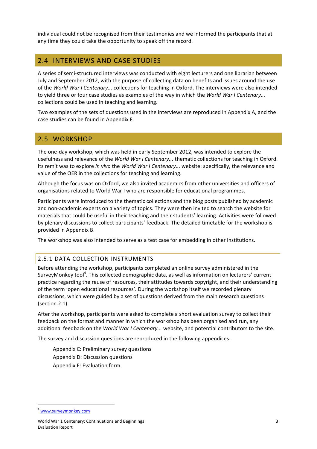individual could not be recognised from their testimonies and we informed the participants that at any time they could take the opportunity to speak off the record.

# 2.4 INTERVIEWS AND CASE STUDIES

A series of semi-structured interviews was conducted with eight lecturers and one librarian between July and September 2012, with the purpose of collecting data on benefits and issues around the use of the *World War I Centenary...* collections for teaching in Oxford. The interviews were also intended to yield three or four case studies as examples of the way in which the *World War I Centenary...* collections could be used in teaching and learning.

Two examples of the sets of questions used in the interviews are reproduced in Appendix A, and the case studies can be found in Appendix F.

## 2.5 WORKSHOP

The one-day workshop, which was held in early September 2012, was intended to explore the usefulness and relevance of the *World War I Centenary...* thematic collections for teaching in Oxford. Its remit was to explore *in vivo* the *World War I Centenary...* website: specifically, the relevance and value of the OER in the collections for teaching and learning.

Although the focus was on Oxford, we also invited academics from other universities and officers of organisations related to World War I who are responsible for educational programmes.

Participants were introduced to the thematic collections and the blog posts published by academic and non-academic experts on a variety of topics. They were then invited to search the website for materials that could be useful in their teaching and their students' learning. Activities were followed by plenary discussions to collect participants' feedback. The detailed timetable for the workshop is provided in Appendix B.

The workshop was also intended to serve as a test case for embedding in other institutions.

#### 2.5.1 DATA COLLECTION INSTRUMENTS

Before attending the workshop, participants completed an online survey administered in the SurveyMonkey tool<sup>4</sup>. This collected demographic data, as well as information on lecturers' current practice regarding the reuse of resources, their attitudes towards copyright, and their understanding of the term 'open educational resources'. During the workshop itself we recorded plenary discussions, which were guided by a set of questions derived from the main research questions (section  $2.1$ ).

After the workshop, participants were asked to complete a short evaluation survey to collect their feedback on the format and manner in which the workshop has been organised and run, any additional feedback on the *World War I Centenary...* website, and potential contributors to the site.

The survey and discussion questions are reproduced in the following appendices:

Appendix C: Preliminary survey questions Appendix D: Discussion questions Appendix E: Evaluation form

<sup>&</sup>lt;sup>4</sup> [www.surveymonkey.com](http://www.surveymonkey.com)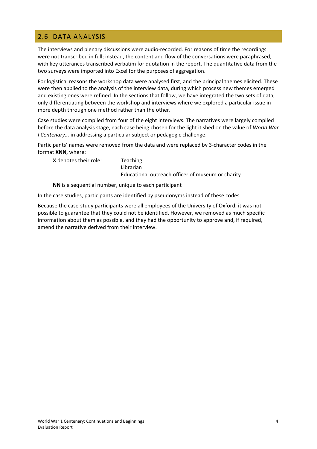# 2.6 DATA ANALYSIS

The interviews and plenary discussions were audio-recorded. For reasons of time the recordings were not transcribed in full; instead, the content and flow of the conversations were paraphrased, with key utterances transcribed verbatim for quotation in the report. The quantitative data from the two surveys were imported into Excel for the purposes of aggregation.

For logistical reasons the workshop data were analysed first, and the principal themes elicited. These were then applied to the analysis of the interview data, during which process new themes emerged and existing ones were refined. In the sections that follow, we have integrated the two sets of data, only differentiating between the workshop and interviews where we explored a particular issue in more depth through one method rather than the other.

Case studies were compiled from four of the eight interviews. The narratives were largely compiled before the data analysis stage, each case being chosen for the light it shed on the value of *World War I* Centenary... in addressing a particular subject or pedagogic challenge.

Participants' names were removed from the data and were replaced by 3-character codes in the format **XNN**, where:

**X** denotes their role: Teaching

**L**ibrarian **Educational outreach officer of museum or charity** 

**NN** is a sequential number, unique to each participant

In the case studies, participants are identified by pseudonyms instead of these codes.

Because the case-study participants were all employees of the University of Oxford, it was not possible to guarantee that they could not be identified. However, we removed as much specific information about them as possible, and they had the opportunity to approve and, if required, amend the narrative derived from their interview.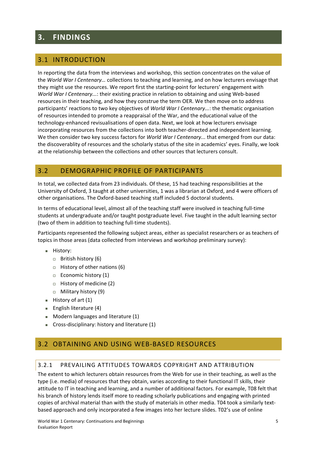# **3. FINDINGS**

# 3.1 INTRODUCTION

In reporting the data from the interviews and workshop, this section concentrates on the value of the *World War I Centenary...* collections to teaching and learning, and on how lecturers envisage that they might use the resources. We report first the starting-point for lecturers' engagement with *World War I Centenary...*: their existing practice in relation to obtaining and using Web-based resources in their teaching, and how they construe the term OER. We then move on to address participants' reactions to two key objectives of *World War I Centenary...*: the thematic organisation of resources intended to promote a reappraisal of the War, and the educational value of the technology-enhanced revisualisations of open data. Next, we look at how lecturers envisage incorporating resources from the collections into both teacher-directed and independent learning. We then consider two key success factors for *World War I Centenary...* that emerged from our data: the discoverablity of resources and the scholarly status of the site in academics' eyes. Finally, we look at the relationship between the collections and other sources that lecturers consult.

# 3.2 DEMOGRAPHIC PROFILE OF PARTICIPANTS

In total, we collected data from 23 individuals. Of these, 15 had teaching responsibilities at the University of Oxford, 3 taught at other universities, 1 was a librarian at Oxford, and 4 were officers of other organisations. The Oxford-based teaching staff included 5 doctoral students.

In terms of educational level, almost all of the teaching staff were involved in teaching full-time students at undergraduate and/or taught postgraduate level. Five taught in the adult learning sector (two of them in addition to teaching full-time students).

Participants represented the following subject areas, either as specialist researchers or as teachers of topics in those areas (data collected from interviews and workshop preliminary survey):

- **History:** 
	- $\Box$  British history (6)
	- $\Box$  History of other nations (6)
	- $\Box$  Economic history (1)
	- $\Box$  History of medicine (2)
	- $\Box$  Military history (9)
- $H$  History of art  $(1)$
- **English literature (4)**
- $\blacksquare$  Modern languages and literature (1)
- Cross-disciplinary: history and literature  $(1)$

# 3.2 OBTAINING AND USING WEB-BASED RESOURCES

#### 3.2.1 PREVAILING ATTITUDES TOWARDS COPYRIGHT AND ATTRIBUTION

The extent to which lecturers obtain resources from the Web for use in their teaching, as well as the type (i.e. media) of resources that they obtain, varies according to their functional IT skills, their attitude to IT in teaching and learning, and a number of additional factors. For example, T08 felt that his branch of history lends itself more to reading scholarly publications and engaging with printed copies of archival material than with the study of materials in other media. T04 took a similarly textbased approach and only incorporated a few images into her lecture slides. T02's use of online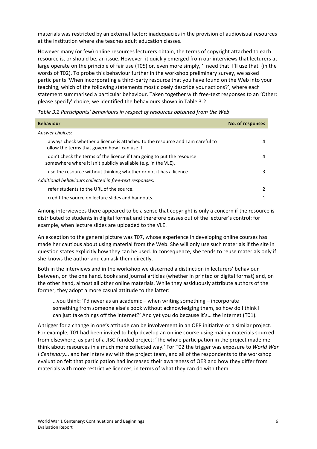materials was restricted by an external factor: inadequacies in the provision of audiovisual resources at the institution where she teaches adult education classes.

However many (or few) online resources lecturers obtain, the terms of copyright attached to each resource is, or should be, an issue. However, it quickly emerged from our interviews that lecturers at large operate on the principle of fair use (T05) or, even more simply, 'I need that: I'll use that' (in the words of T02). To probe this behaviour further in the workshop preliminary survey, we asked participants 'When incorporating a third-party resource that you have found on the Web into your teaching, which of the following statements most closely describe your actions?', where each statement summarised a particular behaviour. Taken together with free-text responses to an 'Other: please specify' choice, we identified the behaviours shown in Table 3.2.

| <b>Behaviour</b>                                                                                                                           | No. of responses |
|--------------------------------------------------------------------------------------------------------------------------------------------|------------------|
| Answer choices:                                                                                                                            |                  |
| I always check whether a licence is attached to the resource and I am careful to<br>follow the terms that govern how I can use it.         |                  |
| I don't check the terms of the licence if I am going to put the resource<br>somewhere where it isn't publicly available (e.g. in the VLE). | 4                |
| I use the resource without thinking whether or not it has a licence.                                                                       | ς                |
| Additional behaviours collected in free-text responses:                                                                                    |                  |
| I refer students to the URL of the source.                                                                                                 |                  |
| I credit the source on lecture slides and handouts.                                                                                        |                  |

Table 3.2 Participants' behaviours in respect of resources obtained from the Web

Among interviewees there appeared to be a sense that copyright is only a concern if the resource is distributed to students in digital format and therefore passes out of the lecturer's control: for example, when lecture slides are uploaded to the VLE.

An exception to the general picture was T07, whose experience in developing online courses has made her cautious about using material from the Web. She will only use such materials if the site in question states explicitly how they can be used. In consequence, she tends to reuse materials only if she knows the author and can ask them directly.

Both in the interviews and in the workshop we discerned a distinction in lecturers' behaviour between, on the one hand, books and journal articles (whether in printed or digital format) and, on the other hand, almost all other online materials. While they assiduously attribute authors of the former, they adopt a more casual attitude to the latter:

... you think: 'I'd never as an academic – when writing something – incorporate something from someone else's book without acknowledging them, so how do I think I can just take things off the internet?' And yet you do because it's... the internet (T01).

A trigger for a change in one's attitude can be involvement in an OER initiative or a similar project. For example, T01 had been invited to help develop an online course using mainly materials sourced from elsewhere, as part of a JISC-funded project: 'The whole participation in the project made me think about resources in a much more collected way.' For T02 the trigger was exposure to *World War I* Centenary... and her interview with the project team, and all of the respondents to the workshop evaluation felt that participation had increased their awareness of OER and how they differ from materials with more restrictive licences, in terms of what they can do with them.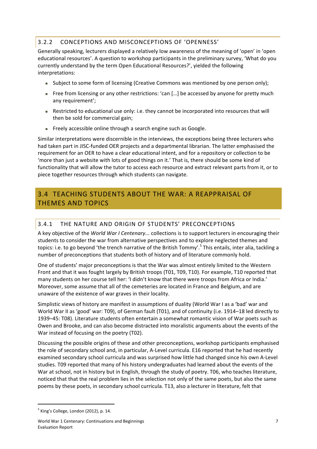### 3.2.2 CONCEPTIONS AND MISCONCEPTIONS OF 'OPENNESS'

Generally speaking, lecturers displayed a relatively low awareness of the meaning of 'open' in 'open educational resources'. A question to workshop participants in the preliminary survey, 'What do you currently understand by the term Open Educational Resources?', yielded the following interpretations:

- **Subject to some form of licensing (Creative Commons was mentioned by one person only);**
- Free from licensing or any other restrictions: 'can [...] be accessed by anyone for pretty much any requirement';
- Restricted to educational use only: i.e. they cannot be incorporated into resources that will then be sold for commercial gain;
- Freely accessible online through a search engine such as Google.

Similar interpretations were discernible in the interviews, the exceptions being three lecturers who had taken part in JISC-funded OER projects and a departmental librarian. The latter emphasised the requirement for an OER to have a clear educational intent, and for a repository or collection to be 'more than just a website with lots of good things on it.' That is, there should be some kind of functionality that will allow the tutor to access each resource and extract relevant parts from it, or to piece together resources through which students can navigate.

# 3.4 TEACHING STUDENTS ABOUT THE WAR: A REAPPRAISAL OF THEMES AND TOPICS

### 3.4.1 THE NATURE AND ORIGIN OF STUDENTS' PRECONCEPTIONS

A key objective of the *World War I Centenary...* collections is to support lecturers in encouraging their students to consider the war from alternative perspectives and to explore neglected themes and topics: i.e. to go beyond 'the trench narrative of the British Tommy'.<sup>5</sup> This entails, inter alia, tackling a number of preconceptions that students both of history and of literature commonly hold.

One of students' major preconceptions is that the War was almost entirely limited to the Western Front and that it was fought largely by British troops (T01, T09, T10). For example, T10 reported that many students on her course tell her: 'I didn't know that there were troops from Africa or India.' Moreover, some assume that all of the cemeteries are located in France and Belgium, and are unaware of the existence of war graves in their locality.

Simplistic views of history are manifest in assumptions of duality (World War I as a 'bad' war and World War II as 'good' war: T09), of German fault (T01), and of continuity (i.e. 1914–18 led directly to 1939–45: T08). Literature students often entertain a somewhat romantic vision of War poets such as Owen and Brooke, and can also become distracted into moralistic arguments about the events of the War instead of focusing on the poetry (T02).

Discussing the possible origins of these and other preconceptions, workshop participants emphasised the role of secondary school and, in particular, A-Level curricula. E16 reported that he had recently examined secondary school curricula and was surprised how little had changed since his own A-Level studies. T09 reported that many of his history undergraduates had learned about the events of the War at school, not in history but in English, through the study of poetry. T06, who teaches literature, noticed that that the real problem lies in the selection not only of the same poets, but also the same poems by these poets, in secondary school curricula. T13, also a lecturer in literature, felt that

<sup>!!!!!!!!!!!!!!!!!!!!!!!!!!!!!!</sup> !!!!!!!!!!!!!!!!!!!!!!!!!!!! <sup>5</sup> King's College, London (2012), p. 14.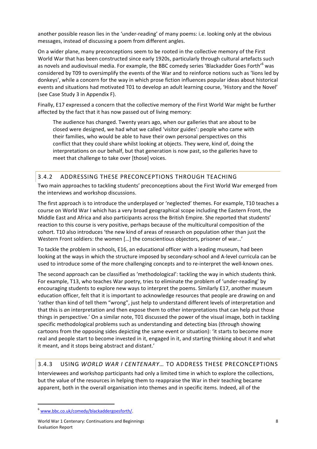another possible reason lies in the 'under-reading' of many poems: i.e. looking only at the obvious messages, instead of discussing a poem from different angles.

On a wider plane, many preconceptions seem to be rooted in the collective memory of the First World War that has been constructed since early 1920s, particularly through cultural artefacts such as novels and audiovisual media. For example, the BBC comedy series 'Blackadder Goes Forth'<sup>6</sup> was considered by T09 to oversimplify the events of the War and to reinforce notions such as 'lions led by donkeys', while a concern for the way in which prose fiction influences popular ideas about historical events and situations had motivated T01 to develop an adult learning course, 'History and the Novel' (see Case Study 3 in Appendix F).

Finally, E17 expressed a concern that the collective memory of the First World War might be further affected by the fact that it has now passed out of living memory:

The audience has changed. Twenty years ago, when our galleries that are about to be closed were designed, we had what we called 'visitor guides': people who came with their families, who would be able to have their own personal perspectives on this conflict that they could share whilst looking at objects. They were, kind of, doing the interpretations on our behalf, but that generation is now past, so the galleries have to meet that challenge to take over [those] voices.

#### 3.4.2 ADDRESSING THESE PRECONCEPTIONS THROUGH TEACHING

Two main approaches to tackling students' preconceptions about the First World War emerged from the interviews and workshop discussions.

The first approach is to introduce the underplayed or 'neglected' themes. For example, T10 teaches a course on World War I which has a very broad geographical scope including the Eastern Front, the Middle East and Africa and also participants across the British Empire. She reported that students' reaction to this course is very positive, perhaps because of the multicultural composition of the cohort. T10 also introduces 'the new kind of areas of research on population other than just the Western Front soldiers: the women [...] the conscientious objectors, prisoner of war...'

To tackle the problem in schools, E16, an educational officer with a leading museum, had been looking at the ways in which the structure imposed by secondary-school and A-level curricula can be used to introduce some of the more challenging concepts and to re-interpret the well-known ones.

The second approach can be classified as 'methodological': tackling the way in which students think. For example, T13, who teaches War poetry, tries to eliminate the problem of 'under-reading' by encouraging students to explore new ways to interpret the poems. Similarly E17, another museum education officer, felt that it is important to acknowledge resources that people are drawing on and 'rather than kind of tell them "wrong", just help to understand different levels of interpretation and that this is *an* interpretation and then expose them to other interpretations that can help put those things in perspective.' On a similar note, T01 discussed the power of the visual image, both in tackling specific methodological problems such as understanding and detecting bias (through showing cartoons from the opposing sides depicting the same event or situation): 'it starts to become more real and people start to become invested in it, engaged in it, and starting thinking about it and what it meant, and it stops being abstract and distant.'

#### 3.4.3 USING *WORLD WAR I CENTENARY...* TO ADDRESS THESE PRECONCEPTIONS

Interviewees and workshop participants had only a limited time in which to explore the collections, but the value of the resources in helping them to reappraise the War in their teaching became apparent, both in the overall organisation into themes and in specific items. Indeed, all of the

<sup>6</sup> [www.bbc.co.uk/comedy/blackaddergoesforth/.](http://www.bbc.co.uk/comedy/blackaddergoesforth/)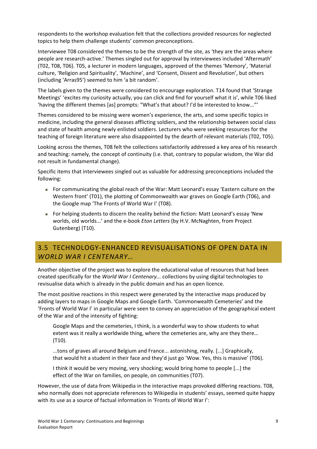respondents to the workshop evaluation felt that the collections provided resources for neglected topics to help them challenge students' common preconceptions.

Interviewee T08 considered the themes to be the strength of the site, as 'they are the areas where people are research-active.' Themes singled out for approval by interviewees included 'Aftermath' (T02, T08, T06). T05, a lecturer in modern languages, approved of the themes 'Memory', 'Material culture, 'Religion and Spirituality', 'Machine', and 'Consent, Dissent and Revolution', but others (including 'Arras95') seemed to him 'a bit random'.

The labels given to the themes were considered to encourage exploration. T14 found that 'Strange Meetings' 'excites my curiosity actually, you can click and find for yourself what it is', while T06 liked 'having the different themes [as] prompts: "What's that about? I'd be interested to know..."'

Themes considered to be missing were women's experience, the arts, and some specific topics in medicine, including the general diseases afflicting soldiers, and the relationship between social class and state of health among newly enlisted soldiers. Lecturers who were seeking resources for the teaching of foreign literature were also disappointed by the dearth of relevant materials (T02, T05).

Looking across the themes, T08 felt the collections satisfactorily addressed a key area of his research and teaching: namely, the concept of continuity (i.e. that, contrary to popular wisdom, the War did not result in fundamental change).

Specific items that interviewees singled out as valuable for addressing preconceptions included the following:

- For communicating the global reach of the War: Matt Leonard's essay 'Eastern culture on the Western front' (T01), the plotting of Commonwealth war graves on Google Earth (T06), and the Google map 'The Fronts of World War I' (T08).
- For helping students to discern the reality behind the fiction: Matt Leonard's essay 'New worlds, old worlds...' and the e-book *Eton Letters* (by H.V. McNaghten, from Project Gutenberg) (T10).

# 3.5 TECHNOLOGY-ENHANCED REVISUALISATIONS OF OPEN DATA IN *WORLD&WAR&I&CENTENARY…*

Another objective of the project was to explore the educational value of resources that had been created specifically for the *World War I Centenary...* collections by using digital technologies to revisualise data which is already in the public domain and has an open licence.

The most positive reactions in this respect were generated by the interactive maps produced by adding layers to maps in Google Maps and Google Earth. 'Commonwealth Cemeteries' and the 'Fronts of World War I' in particular were seen to convey an appreciation of the geographical extent of the War and of the intensity of fighting:

Google Maps and the cemeteries. I think, is a wonderful way to show students to what extent was it really a worldwide thing, where the cemeteries are, why are they there... (T10).

...tons of graves all around Belgium and France... astonishing, really. [...] Graphically, that would hit a student in their face and they'd just go 'Wow. Yes, this is massive' (T06).

I think it would be very moving, very shocking; would bring home to people [...] the effect of the War on families, on people, on communities (T07).

However, the use of data from Wikipedia in the interactive maps provoked differing reactions. T08, who normally does not appreciate references to Wikipedia in students' essays, seemed quite happy with its use as a source of factual information in 'Fronts of World War!':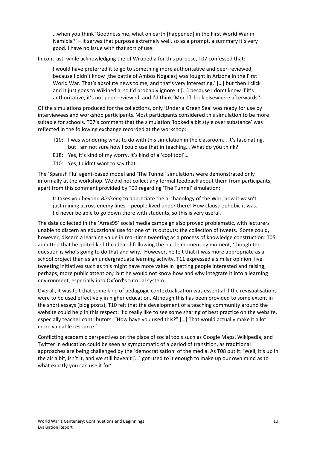...when you think 'Goodness me, what on earth [happened] in the First World War in Namibia?' – it serves that purpose extremely well, so as a prompt, a summary it's very good. I have no issue with that sort of use.

In contrast, while acknowledging the of Wikipedia for this purpose, T07 confessed that:

I would have preferred it to go to something more authoritative and peer-reviewed. because I didn't know [the battle of Ambos Nogales] was fought in Arizona in the First World War. That's absolute news to me, and that's very interesting.' [...] but then I click and it just goes to Wikipedia, so I'd probably ignore it [...] because I don't know if it's authoritative, it's not peer-reviewed, and I'd think 'Mm, I'll look elsewhere afterwards.'

Of the simulations produced for the collections, only 'Under a Green Sea' was ready for use by interviewees and workshop participants. Most participants considered this simulation to be more suitable for schools. T07's comment that the simulation 'looked a bit style over substance' was reflected in the following exchange recorded at the workshop:

- T10: I was wondering what to do with this simulation in the classroom... It's fascinating, but I am not sure how I could use that in teaching... What do you think?
- E18: Yes, it's kind of my worry. It's kind of a 'cool tool'...
- T10: Yes, I didn't want to say that...

The 'Spanish Flu' agent-based model and 'The Tunnel' simulations were demonstrated only informally at the workshop. We did not collect any formal feedback about them from participants, apart from this comment provided by T09 regarding 'The Tunnel' simulation:

It takes you beyond *Birdsong* to appreciate the archaeology of the War, how it wasn't just mining across enemy lines – people lived under there! How claustrophobic it was. I'd never be able to go down there with students, so this is very useful.

The data collected in the 'Arras95' social media campaign also proved problematic, with lecturers unable to discern an educational use for one of its outputs: the collection of tweets. Some could, however, discern a learning value in real-time tweeting as a process of knowledge construction: T05 admitted that he quite liked the idea of following the battle moment by moment, 'though the question is who's going to do that and why.' However, he felt that it was more appropriate as a school project than as an undergraduate learning activity. T11 expressed a similar opinion: live tweeting initiatives such as this might have more value in 'getting people interested and raising, perhaps, more public attention,' but he would not know how and why integrate it into a learning environment, especially into Oxford's tutorial system.

Overall, it was felt that some kind of pedagogic contextualisation was essential if the revisualisations were to be used effectively in higher education. Although this has been provided to some extent in the short essays (blog posts), T10 felt that the development of a teaching community around the website could help in this respect: 'I'd really like to see some sharing of best practice on the website, especially teacher contributors: "How have you used this?" [...] That would actually make it a lot more valuable resource.'

Conflicting academic perspectives on the place of social tools such as Google Maps, Wikipedia, and Twitter in education could be seen as symptomatic of a period of transition, as traditional approaches are being challenged by the 'democratisation' of the media. As T08 put it: 'Well, it's up in the air a bit, isn't it, and we still haven't [...] got used to it enough to make up our own mind as to what exactly you can use it for'.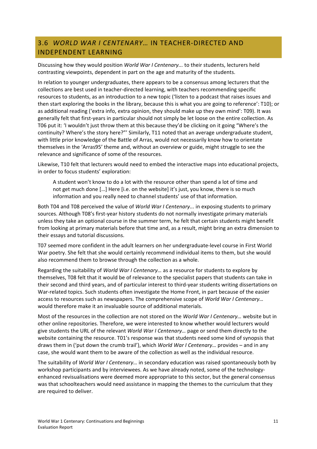# 3.6 WORLD WAR I CENTENARY... IN TEACHER-DIRECTED AND INDEPENDENT!LEARNING

Discussing how they would position *World War I Centenary...* to their students, lecturers held contrasting viewpoints, dependent in part on the age and maturity of the students.

In relation to younger undergraduates, there appears to be a consensus among lecturers that the collections are best used in teacher-directed learning, with teachers recommending specific resources to students, as an introduction to a new topic ('listen to a podcast that raises issues and then start exploring the books in the library, because this is what you are going to reference': T10); or as additional reading ('extra info, extra opinion, they should make up they own mind': T09). It was generally felt that first-years in particular should not simply be let loose on the entire collection. As T06 put it: 'I wouldn't just throw them at this because they'd be clicking on it going "Where's the continuity? Where's the story here?"' Similarly, T11 noted that an average undergraduate student, with little prior knowledge of the Battle of Arras, would not necessarily know how to orientate themselves in the 'Arras95' theme and, without an overview or guide, might struggle to see the relevance and significance of some of the resources.

Likewise, T10 felt that lecturers would need to embed the interactive maps into educational projects, in order to focus students' exploration:

A student won't know to do a lot with the resource other than spend a lot of time and not get much done [...] Here [i.e. on the website] it's just, you know, there is so much information and you really need to channel students' use of that information.

Both T04 and T08 perceived the value of *World War I Centenary...* in exposing students to primary sources. Although T08's first-year history students do not normally investigate primary materials unless they take an optional course in the summer term, he felt that certain students might benefit from looking at primary materials before that time and, as a result, might bring an extra dimension to their essays and tutorial discussions.

T07 seemed more confident in the adult learners on her undergraduate-level course in First World War poetry. She felt that she would certainly recommend individual items to them, but she would also recommend them to browse through the collection as a whole.

Regarding the suitability of *World War I Centenary...* as a resource for students to explore by themselves, T08 felt that it would be of relevance to the specialist papers that students can take in their second and third years, and of particular interest to third-year students writing dissertations on War-related topics. Such students often investigate the Home Front, in part because of the easier access to resources such as newspapers. The comprehensive scope of *World War I Centenary...* would therefore make it an invaluable source of additional materials.

Most of the resources in the collection are not stored on the *World War I Centenary...* website but in other online repositories. Therefore, we were interested to know whether would lecturers would give students the URL of the relevant *World War I Centenary...* page or send them directly to the website containing the resource. T01's response was that students need some kind of synopsis that draws them in ('put down the crumb trail'), which *World War I Centenary...* provides – and in any case, she would want them to be aware of the collection as well as the individual resource.

The suitability of *World War I Centenary...* in secondary education was raised spontaneously both by workshop participants and by interviewees. As we have already noted, some of the technologyenhanced revisualisations were deemed more appropriate to this sector, but the general consensus was that schoolteachers would need assistance in mapping the themes to the curriculum that they are required to deliver.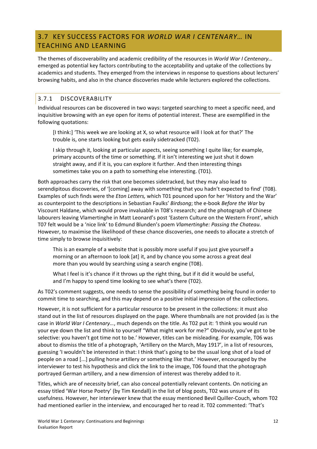# 3.7 KEY SUCCESS FACTORS FOR WORLD WAR I CENTENARY... IN TEACHING AND LEARNING

The themes of discoverability and academic credibility of the resources in *World War I Centenary...* emerged as potential key factors contributing to the acceptability and uptake of the collections by academics and students. They emerged from the interviews in response to questions about lecturers' browsing habits, and also in the chance discoveries made while lecturers explored the collections.

### 3.7.1 DISCOVERABILITY

Individual resources can be discovered in two ways: targeted searching to meet a specific need, and inquisitive browsing with an eye open for items of potential interest. These are exemplified in the following quotations:

[I think:] 'This week we are looking at X, so what resource will I look at for that?' The trouble is, one starts looking but gets easily sidetracked (T02).

I skip through it, looking at particular aspects, seeing something I quite like; for example, primary accounts of the time or something. If it isn't interesting we just shut it down straight away, and if it is, you can explore it further. And then interesting things sometimes take you on a path to something else interesting. (T01).

Both approaches carry the risk that one becomes sidetracked, but they may also lead to serendipitous discoveries, of '[coming] away with something that you hadn't expected to find' (T08). Examples of such finds were the *Eton Letters*, which T01 pounced upon for her 'History and the War' as counterpoint to the descriptions in Sebastian Faulks' *Birdsong*; the e-book *Before the War* by Viscount Haldane, which would prove invaluable in T08's research; and the photograph of Chinese labourers leaving Vlamertinghe in Matt Leonard's post 'Eastern Culture on the Western Front', which T07 felt would be a 'nice link' to Edmund Blunden's poem *Vlamertinghe: Passing the Chateau*. However, to maximise the likelihood of these chance discoveries, one needs to allocate a stretch of time simply to browse inquisitively:

This is an example of a website that is possibly more useful if you just give yourself a morning or an afternoon to look [at] it, and by chance you some across a great deal more than you would by searching using a search engine (T08).

What I feel is it's chance if it throws up the right thing, but if it did it would be useful, and I'm happy to spend time looking to see what's there (T02).

As T02's comment suggests, one needs to sense the possibility of something being found in order to commit time to searching, and this may depend on a positive initial impression of the collections.

However, it is not sufficient for a particular resource to be present in the collections: it must also stand out in the list of resources displayed on the page. Where thumbnails are not provided (as is the case in *World War I Centenary...*, much depends on the title. As T02 put it: 'I think you would run your eye down the list and think to yourself "What might work for me?" Obviously, you've got to be selective: you haven't got time not to be.' However, titles can be misleading. For example, T06 was about to dismiss the title of a photograph, 'Artillery on the March, May 1917', in a list of resources, guessing 'I wouldn't be interested in that: I think that's going to be the usual long shot of a load of people on a road [...] pulling horse artillery or something like that.' However, encouraged by the interviewer to test his hypothesis and click the link to the image, T06 found that the photograph portrayed German artillery, and a new dimension of interest was thereby added to it.

Titles, which are of necessity brief, can also conceal potentially relevant contents. On noticing an essay titled 'War Horse Poetry' (by Tim Kendall) in the list of blog posts, T02 was unsure of its usefulness. However, her interviewer knew that the essay mentioned Bevil Quiller-Couch, whom T02 had mentioned earlier in the interview, and encouraged her to read it. T02 commented: 'That's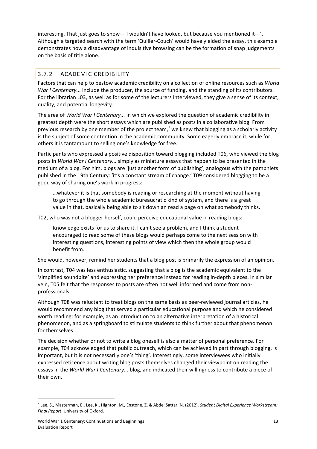interesting. That just goes to show— I wouldn't have looked, but because you mentioned it—'. Although a targeted search with the term 'Quiller-Couch' would have yielded the essay, this example demonstrates how a disadvantage of inquisitive browsing can be the formation of snap judgements on the basis of title alone.

# 3.7.2 ACADEMIC!CREDIBILITY

Factors that can help to bestow academic credibility on a collection of online resources such as *World War I Centenary...* include the producer, the source of funding, and the standing of its contributors. For the librarian L03, as well as for some of the lecturers interviewed, they give a sense of its context, quality, and potential longevity.

The area of *World War I Centenary...* in which we explored the question of academic credibility in greatest depth were the short essays which are published as posts in a collaborative blog. From previous research by one member of the project team,<sup>7</sup> we knew that blogging as a scholarly activity is the subject of some contention in the academic community. Some eagerly embrace it, while for others it is tantamount to selling one's knowledge for free.

Participants who expressed a positive disposition toward blogging included T06, who viewed the blog posts in *World War I Centenary...* simply as miniature essays that happen to be presented in the medium of a blog. For him, blogs are 'just another form of publishing', analogous with the pamphlets published in the 19th Century: 'it's a constant stream of change.' T09 considered blogging to be a good way of sharing one's work in progress:

...whatever it is that somebody is reading or researching at the moment without having to go through the whole academic bureaucratic kind of system, and there is a great value in that, basically being able to sit down an read a page on what somebody thinks.

T02, who was not a blogger herself, could perceive educational value in reading blogs:

Knowledge exists for us to share it. I can't see a problem, and I think a student encouraged to read some of these blogs would perhaps come to the next session with interesting questions, interesting points of view which then the whole group would benefit from.

She would, however, remind her students that a blog post is primarily the expression of an opinion.

In contrast, T04 was less enthusiastic, suggesting that a blog is the academic equivalent to the 'simplified soundbite' and expressing her preference instead for reading in-depth pieces. In similar vein, T05 felt that the responses to posts are often not well informed and come from nonprofessionals.

Although T08 was reluctant to treat blogs on the same basis as peer-reviewed journal articles, he would recommend any blog that served a particular educational purpose and which he considered worth reading: for example, as an introduction to an alternative interpretation of a historical phenomenon, and as a springboard to stimulate students to think further about that phenomenon for themselves.

The decision whether or not to write a blog oneself is also a matter of personal preference. For example, T04 acknowledged that public outreach, which can be achieved in part through blogging, is important, but it is not necessarily one's 'thing'. Interestingly, some interviewees who initially expressed reticence about writing blog posts themselves changed their viewpoint on reading the essays in the *World War I Centenary...* blog, and indicated their willingness to contribute a piece of their own.

<sup>&</sup>lt;sup>7</sup> Lee, S., Masterman, E., Lee, K., Highton, M., Enstone, Z. & Abdel Sattar, N. (2012). *Student Digital Experience Workstream:* Final Report. University of Oxford.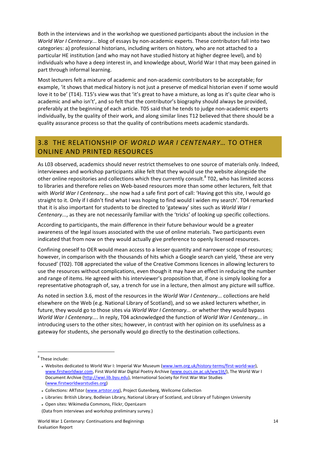Both in the interviews and in the workshop we questioned participants about the inclusion in the *World War I Centenary...* blog of essays by non-academic experts. These contributors fall into two categories: a) professional historians, including writers on history, who are not attached to a particular HE institution (and who may not have studied history at higher degree level), and b) individuals who have a deep interest in, and knowledge about, World War I that may been gained in part through informal learning.

Most lecturers felt a mixture of academic and non-academic contributors to be acceptable; for example, 'it shows that medical history is not just a preserve of medical historian even if some would love it to be' (T14). T15's view was that 'it's great to have a mixture, as long as it's quite clear who is academic and who isn't', and so felt that the contributor's biography should always be provided, preferably at the beginning of each article. T05 said that he tends to judge non-academic experts individually, by the quality of their work, and along similar lines T12 believed that there should be a quality assurance process so that the quality of contributions meets academic standards.

# 3.8 THE RELATIONSHIP OF WORLD WAR I CENTENARY... TO OTHER ONLINE AND PRINTED RESOURCES

As L03 observed, academics should never restrict themselves to one source of materials only. Indeed, interviewees and workshop participants alike felt that they would use the website alongside the other online repositories and collections which they currently consult. ${}^{8}$  T02, who has limited access to libraries and therefore relies on Web-based resources more than some other lecturers, felt that with *World War I Centenary...* she now had a safe first port of call: 'Having got this site, I would go straight to it. Only if I didn't find what I was hoping to find would I widen my search'. T04 remarked that it is also important for students to be directed to 'gateway' sites such as *World War I Centenary...*, as they are not necessarily familiar with the 'tricks' of looking up specific collections.

According to participants, the main difference in their future behaviour would be a greater awareness of the legal issues associated with the use of online materials. Two participants even indicated that from now on they would actually give preference to openly licensed resources.

Confining oneself to OER would mean access to a lesser quantity and narrower scope of resources; however, in comparison with the thousands of hits which a Google search can yield, 'these are very focused' (T02). T08 appreciated the value of the Creative Commons licences in allowing lecturers to use the resources without complications, even though it may have an effect in reducing the number and range of items. He agreed with his interviewer's proposition that, if one is simply looking for a representative photograph of, say, a trench for use in a lecture, then almost any picture will suffice.

As noted in section 3.6, most of the resources in the *World War I Centenary...* collections are held elsewhere on the Web (e.g. National Library of Scotland), and so we asked lecturers whether, in future, they would go to those sites via *World War I Centenary...* or whether they would bypass *World War I Centenary....* In reply, T04 acknowledged the function of *World War I Centenary...* in introducing users to the other sites; however, in contrast with her opinion on its usefulness as a gateway for students, she personally would go directly to the destination collections.

<sup>&</sup>lt;sup>8</sup> These include:

Websites dedicated to World War I: Imperial War Museum (www.iwm.org.uk/history-terms/first-world-war), www.firstworldwar.com, First World War Digital Poetry Archive (www.oucs.ox.ac.uk/ww1lit/), The World War I Document Archive (http://wwi.lib.byu.edu), International Society for First War War Studies ([www.firstworldwarstudies.org\)](http://www.firstworldwarstudies.org)

Collections: ARTstor (www.artstor.org), Project Gutenberg, Wellcome Collection

<sup>-</sup> Libraries: British Library, Bodleian Library, National Library of Scotland, and Library of Tubingen University

Dpen sites: Wikimedia Commons, Flickr, OpenLearn

<sup>(</sup>Data from interviews and workshop preliminary survey.)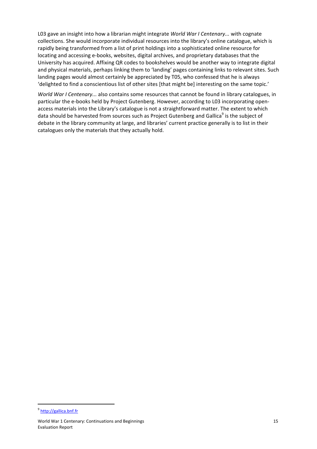L03 gave an insight into how a librarian might integrate *World War I Centenary...* with cognate collections. She would incorporate individual resources into the library's online catalogue, which is rapidly being transformed from a list of print holdings into a sophisticated online resource for locating and accessing e-books, websites, digital archives, and proprietary databases that the University has acquired. Affixing QR codes to bookshelves would be another way to integrate digital and physical materials, perhaps linking them to 'landing' pages containing links to relevant sites. Such landing pages would almost certainly be appreciated by T05, who confessed that he is always 'delighted to find a conscientious list of other sites [that might be] interesting on the same topic.'

*World War I Centenary...* also contains some resources that cannot be found in library catalogues, in particular the e-books held by Project Gutenberg. However, according to L03 incorporating openaccess materials into the Library's catalogue is not a straightforward matter. The extent to which data should be harvested from sources such as Project Gutenberg and Gallica<sup>9</sup> is the subject of debate in the library community at large, and libraries' current practice generally is to list in their catalogues only the materials that they actually hold.

<sup>9</sup> <http://gallica.bnf.fr>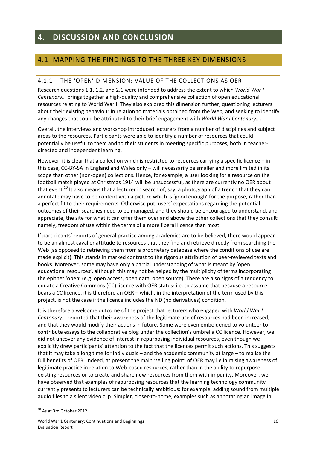# **4. DISCUSSION AND CONCLUSION**

# 4.1 MAPPING THE FINDINGS TO THE THREE KEY DIMENSIONS

#### 4.1.1 THE 'OPEN' DIMENSION: VALUE OF THE COLLECTIONS AS OFR

Research questions 1.1, 1.2, and 2.1 were intended to address the extent to which *World War I Centenary...* brings together a high-quality and comprehensive collection of open educational resources relating to World War I. They also explored this dimension further, questioning lecturers about their existing behaviour in relation to materials obtained from the Web, and seeking to identify any changes that could be attributed to their brief engagement with *World War I Centenary...*.

Overall, the interviews and workshop introduced lecturers from a number of disciplines and subject areas to the resources. Participants were able to identify a number of resources that could potentially be useful to them and to their students in meeting specific purposes, both in teacherdirected and independent learning.

However, it is clear that a collection which is restricted to resources carrying a specific licence – in this case, CC-BY-SA in England and Wales only – will necessarily be smaller and more limited in its scope than other (non-open) collections. Hence, for example, a user looking for a resource on the football match played at Christmas 1914 will be unsuccessful, as there are currently no OER about that event.<sup>10</sup> It also means that a lecturer in search of, say, a photograph of a trench that they can annotate may have to be content with a picture which is 'good enough' for the purpose, rather than a perfect fit to their requirements. Otherwise put, users' expectations regarding the potential outcomes of their searches need to be managed, and they should be encouraged to understand, and appreciate, the site for what it can offer them over and above the other collections that they consult: namely, freedom of use within the terms of a more liberal licence than most.

If participants' reports of general practice among academics are to be believed, there would appear to be an almost cavalier attitude to resources that they find and retrieve directly from searching the Web (as opposed to retrieving them from a proprietary database where the conditions of use are made explicit). This stands in marked contrast to the rigorous attribution of peer-reviewed texts and books. Moreover, some may have only a partial understanding of what is meant by 'open educational resources', although this may not be helped by the multiplicity of terms incorporating the epithet 'open' (e.g. open access, open data, open source). There are also signs of a tendency to equate a Creative Commons (CC) licence with OER status: i.e. to assume that because a resource bears a CC licence, it is therefore an OER – which, in the interpretation of the term used by this project, is not the case if the licence includes the ND (no derivatives) condition.

It is therefore a welcome outcome of the project that lecturers who engaged with *World War I Centenary...* reported that their awareness of the legitimate use of resources had been increased, and that they would modify their actions in future. Some were even emboldened to volunteer to contribute essays to the collaborative blog under the collection's umbrella CC licence. However, we did not uncover any evidence of interest in repurposing individual resources, even though we explicitly drew participants' attention to the fact that the licences permit such actions. This suggests that it may take a long time for individuals – and the academic community at large – to realise the full benefits of OER. Indeed, at present the main 'selling point' of OER may lie in raising awareness of legitimate practice in relation to Web-based resources, rather than in the ability to repurpose existing resources or to create and share new resources from them with impunity. Moreover, we have observed that examples of repurposing resources that the learning technology community currently presents to lecturers can be technically ambitious: for example, adding sound from multiple audio files to a silent video clip. Simpler, closer-to-home, examples such as annotating an image in

 $10$  As at 3rd October 2012.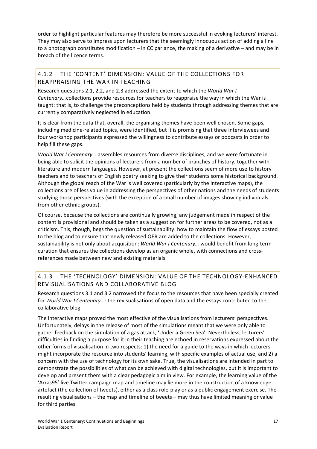order to highlight particular features may therefore be more successful in evoking lecturers' interest. They may also serve to impress upon lecturers that the seemingly innocuous action of adding a line to a photograph constitutes modification – in CC parlance, the making of a derivative – and may be in breach of the licence terms.

#### 4.1.2 THE 'CONTENT' DIMENSION: VALUE OF THE COLLECTIONS FOR REAPPRAISING THE WAR IN TEACHING

Research questions 2.1, 2.2, and 2.3 addressed the extent to which the *World War I Centenary...*collections provide resources for teachers to reappraise the way in which the War is taught: that is, to challenge the preconceptions held by students through addressing themes that are currently comparatively neglected in education.

It is clear from the data that, overall, the organising themes have been well chosen. Some gaps, including medicine-related topics, were identified, but it is promising that three interviewees and four workshop participants expressed the willingness to contribute essays or podcasts in order to help fill these gaps.

*World War I Centenary...* assembles resources from diverse disciplines, and we were fortunate in being able to solicit the opinions of lecturers from a number of branches of history, together with literature and modern languages. However, at present the collections seem of more use to history teachers and to teachers of English poetry seeking to give their students some historical background. Although the global reach of the War is well covered (particularly by the interactive maps), the collections are of less value in addressing the perspectives of other nations and the needs of students studying those perspectives (with the exception of a small number of images showing individuals from other ethnic groups).

Of course, because the collections are continually growing, any judgement made in respect of the content is provisional and should be taken as a suggestion for further areas to be covered, not as a criticism. This, though, begs the question of sustainability: how to maintain the flow of essays posted to the blog and to ensure that newly released OER are added to the collections. However, sustainability is not only about acquisition: *World War I Centenary...* would benefit from long-term curation that ensures the collections develop as an organic whole, with connections and crossreferences made between new and existing materials.

### 4.1.3 THE 'TECHNOLOGY' DIMENSION: VALUE OF THE TECHNOLOGY-ENHANCED REVISUALISATIONS AND COLLABORATIVE BLOG

Research questions 3.1 and 3.2 narrowed the focus to the resources that have been specially created for *World War I Centenary...*: the revisualisations of open data and the essays contributed to the collaborative blog.

The interactive maps proved the most effective of the visualisations from lecturers' perspectives. Unfortunately, delays in the release of most of the simulations meant that we were only able to gather feedback on the simulation of a gas attack, 'Under a Green Sea'. Nevertheless, lecturers' difficulties in finding a purpose for it in their teaching are echoed in reservations expressed about the other forms of visualisation in two respects: 1) the need for a guide to the ways in which lecturers might incorporate the resource into students' learning, with specific examples of actual use; and 2) a concern with the use of technology for its own sake. True, the visualisations are intended in part to demonstrate the possibilities of what can be achieved with digital technologies, but it is important to develop and present them with a clear pedagogic aim in view. For example, the learning value of the 'Arras95' live Twitter campaign map and timeline may lie more in the construction of a knowledge artefact (the collection of tweets), either as a class role-play or as a public engagement exercise. The resulting visualisations – the map and timeline of tweets – may thus have limited meaning or value for third parties.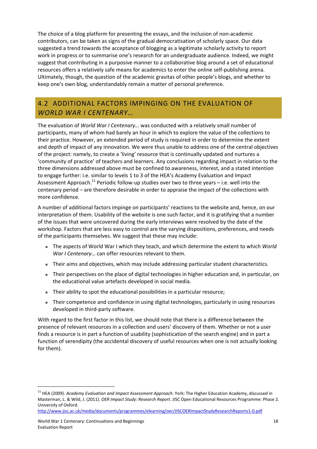The choice of a blog platform for presenting the essays, and the inclusion of non-academic contributors, can be taken as signs of the gradual democratisation of scholarly space. Our data suggested a trend towards the acceptance of blogging as a legitimate scholarly activity to report work in progress or to summarise one's research for an undergraduate audience. Indeed, we might suggest that contributing in a purposive manner to a collaborative blog around a set of educational resources offers a relatively safe means for academics to enter the online self-publishing arena. Ultimately, though, the question of the academic gravitas of other people's blogs, and whether to keep one's own blog, understandably remain a matter of personal preference.

# 4.2 ADDITIONAL FACTORS IMPINGING ON THE EVALUATION OF *WORLD&WAR&I&CENTENARY…*

The evaluation of *World War I Centenary...* was conducted with a relatively small number of participants, many of whom had barely an hour in which to explore the value of the collections to their practice. However, an extended period of study is required in order to determine the extent and depth of impact of any innovation. We were thus unable to address one of the central objectives of the project: namely, to create a 'living' resource that is continually updated and nurtures a 'community of practice' of teachers and learners. Any conclusions regarding impact in relation to the three dimensions addressed above must be confined to awareness, interest, and a stated intention to engage further: i.e. similar to levels 1 to 3 of the HEA's Academy Evaluation and Impact Assessment Approach.<sup>11</sup> Periodic follow-up studies over two to three years – i.e. well into the centenary period – are therefore desirable in order to appraise the impact of the collections with more confidence.

A number of additional factors impinge on participants' reactions to the website and, hence, on our interpretation of them. Usability of the website is one such factor, and it is gratifying that a number of the issues that were uncovered during the early interviews were resolved by the date of the workshop. Factors that are less easy to control are the varying dispositions, preferences, and needs of the participants themselves. We suggest that these may include:

- The aspects of World War I which they teach, and which determine the extent to which *World War I Centenary...* can offer resources relevant to them.
- Their aims and objectives, which may include addressing particular student characteristics.
- Their perspectives on the place of digital technologies in higher education and, in particular, on the educational value artefacts developed in social media.
- Their ability to spot the educational possibilities in a particular resource;
- Their competence and confidence in using digital technologies, particularly in using resources developed in third-party software.

With regard to the first factor in this list, we should note that there is a difference between the presence of relevant resources in a collection and users' discovery of them. Whether or not a user finds a resource is in part a function of usability (sophistication of the search engine) and in part a function of serendipity (the accidental discovery of useful resources when one is not actually looking for them).

<sup>&</sup>lt;sup>11</sup> HEA (2009). *Academy Evaluation and Impact Assessment Approach*. York: The Higher Education Academy, discussed in Masterman, L. & Wild, J. (2011). *OER Impact Study: Research Report*. JISC Open Educational Resources Programme: Phase 2. University of Oxford.

http://www.jisc.ac.uk/media/documents/programmes/elearning/oer/JISCOERImpactStudyResearchReportv1-0.pdf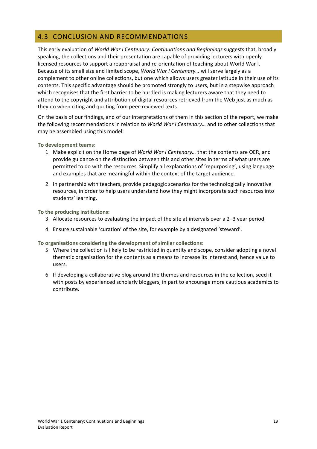# **4.3 CONCLUSION AND RECOMMENDATIONS**

This early evaluation of *World War I Centenary: Continuations and Beginnings* suggests that, broadly speaking, the collections and their presentation are capable of providing lecturers with openly licensed resources to support a reappraisal and re-orientation of teaching about World War I. Because of its small size and limited scope, *World War I Centenary...* will serve largely as a complement to other online collections, but one which allows users greater latitude in their use of its contents. This specific advantage should be promoted strongly to users, but in a stepwise approach which recognises that the first barrier to be hurdled is making lecturers aware that they need to attend to the copyright and attribution of digital resources retrieved from the Web just as much as they do when citing and quoting from peer-reviewed texts.

On the basis of our findings, and of our interpretations of them in this section of the report, we make the following recommendations in relation to *World War I Centenary...* and to other collections that may be assembled using this model:

**To development teams:** 

- 1. Make explicit on the Home page of *World War I Centenary...* that the contents are OER, and provide guidance on the distinction between this and other sites in terms of what users are permitted to do with the resources. Simplify all explanations of 'repurposing', using language and examples that are meaningful within the context of the target audience.
- 2. In partnership with teachers, provide pedagogic scenarios for the technologically innovative resources, in order to help users understand how they might incorporate such resources into students' learning.

To the producing institutions:

- 3. Allocate resources to evaluating the impact of the site at intervals over a  $2-3$  year period.
- 4. Ensure sustainable 'curation' of the site, for example by a designated 'steward'.

To organisations considering the development of similar collections:

- 5. Where the collection is likely to be restricted in quantity and scope, consider adopting a novel thematic organisation for the contents as a means to increase its interest and, hence value to users.
- 6. If developing a collaborative blog around the themes and resources in the collection, seed it with posts by experienced scholarly bloggers, in part to encourage more cautious academics to contribute.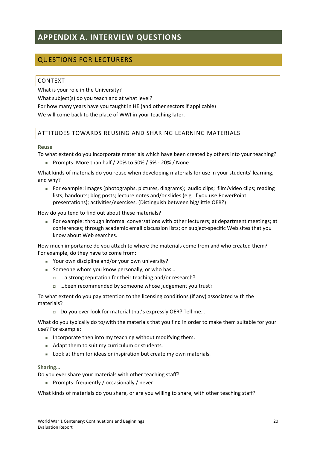# **APPENDIX(A.(INTERVIEW(QUESTIONS**

# **QUESTIONS FOR LECTURERS**

#### **CONTEXT**

What is your role in the University? What subject(s) do you teach and at what level? For how many years have you taught in HE (and other sectors if applicable) We will come back to the place of WWI in your teaching later.

#### ATTITUDES TOWARDS REUSING AND SHARING LEARNING MATERIALS

#### **Reuse**

To what extent do you incorporate materials which have been created by others into your teaching?

**Prompts: More than half / 20% to 50% / 5% - 20% / None** 

What kinds of materials do you reuse when developing materials for use in your students' learning, and why?

For example: images (photographs, pictures, diagrams); audio clips;  $film/video \text{ clips}$ ; reading lists; handouts; blog posts; lecture notes and/or slides (e.g. if you use PowerPoint presentations); activities/exercises. (Distinguish between big/little OER?)

How do you tend to find out about these materials?

For example: through informal conversations with other lecturers; at department meetings; at conferences; through academic email discussion lists; on subject-specific Web sites that you know about Web searches.

How much importance do you attach to where the materials come from and who created them? For example, do they have to come from:

- Your own discipline and/or your own university?
- Someone whom you know personally, or who has...
	- $\Box$  ...a strong reputation for their teaching and/or research?
	- $\Box$  ...been recommended by someone whose judgement you trust?

To what extent do you pay attention to the licensing conditions (if any) associated with the materials?

 $\Box$  Do you ever look for material that's expressly OER? Tell me...

What do you typically do to/with the materials that you find in order to make them suitable for your use? For example:

- Incorporate then into my teaching without modifying them.
- $\blacksquare$  Adapt them to suit my curriculum or students.
- $\blacksquare$  Look at them for ideas or inspiration but create my own materials.

#### **Sharing…**

Do you ever share your materials with other teaching staff?

Prompts: frequently / occasionally / never

What kinds of materials do you share, or are you willing to share, with other teaching staff?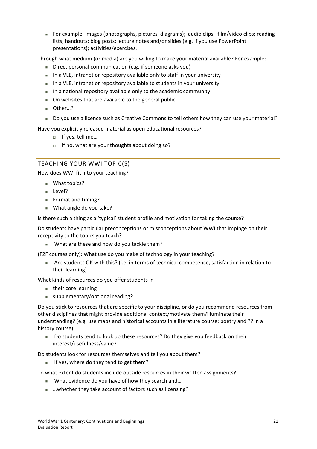For example: images (photographs, pictures, diagrams); audio clips;  $\lim$ /video clips; reading lists; handouts; blog posts; lecture notes and/or slides (e.g. if you use PowerPoint presentations); activities/exercises.

Through what medium (or media) are you willing to make your material available? For example:

- Direct personal communication (e.g. if someone asks you)
- In a VLE, intranet or repository available only to staff in your university
- In a VLE, intranet or repository available to students in your university
- $\blacksquare$  In a national repository available only to the academic community
- On websites that are available to the general public
- Other…?
- Do you use a licence such as Creative Commons to tell others how they can use your material?

Have you explicitly released material as open educational resources?

- □ If yes, tell me...
- $\Box$  If no, what are your thoughts about doing so?

#### TEACHING YOUR WWI TOPIC(S)

How does WWI fit into your teaching?

- What topics?
- Level?
- Format and timing?
- $W$ hat angle do you take?

Is there such a thing as a 'typical' student profile and motivation for taking the course?

Do students have particular preconceptions or misconceptions about WWI that impinge on their receptivity to the topics you teach?

. What are these and how do you tackle them?

(F2F courses only): What use do you make of technology in your teaching?

If Are students OK with this? (i.e. in terms of technical competence, satisfaction in relation to their learning)

What kinds of resources do you offer students in

- their core learning
- $\blacksquare$  supplementary/optional reading?

Do you stick to resources that are specific to your discipline, or do you recommend resources from other disciplines that might provide additional context/motivate them/illuminate their understanding? (e.g. use maps and historical accounts in a literature course; poetry and ?? in a history course)

Do students tend to look up these resources? Do they give you feedback on their interest/usefulness/value?!

Do students look for resources themselves and tell you about them?

If yes, where do they tend to get them?

To what extent do students include outside resources in their written assignments?

- What evidence do you have of how they search and...
- …whether they take account of factors such as licensing?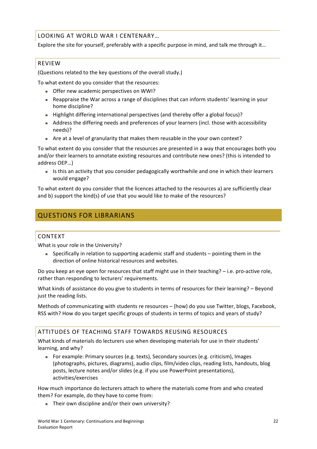LOOKING AT WORLD WAR I CENTENARY...

Explore the site for yourself, preferably with a specific purpose in mind, and talk me through it...

#### REVIEW

(Questions related to the key questions of the overall study.)

To what extent do you consider that the resources:

- Offer new academic perspectives on WWI?
- Reappraise the War across a range of disciplines that can inform students' learning in your home discipline?
- Highlight differing international perspectives (and thereby offer a global focus)?
- Address the differing needs and preferences of your learners (incl. those with accessibility needs)?
- Are at a level of granularity that makes them reusable in the your own context?

To what extent do you consider that the resources are presented in a way that encourages both you and/or their learners to annotate existing resources and contribute new ones? (this is intended to address!OEP…)

Is this an activity that you consider pedagogically worthwhile and one in which their learners would engage?

To what extent do you consider that the licences attached to the resources a) are sufficiently clear and b) support the kind(s) of use that you would like to make of the resources?

# **QUESTIONS FOR LIBRARIANS**

#### CONTEXT

What is your role in the University?

■ Specifically in relation to supporting academic staff and students – pointing them in the direction of online historical resources and websites.

Do you keep an eye open for resources that staff might use in their teaching? – i.e. pro-active role, rather than responding to lecturers' requirements.

What kinds of assistance do you give to students in terms of resources for their learning? – Beyond just the reading lists.

Methods of communicating with students re resources – (how) do you use Twitter, blogs, Facebook, RSS with? How do you target specific groups of students in terms of topics and years of study?

#### ATTITUDES OF TEACHING STAFF TOWARDS REUSING RESOURCES

What kinds of materials do lecturers use when developing materials for use in their students' learning, and why?

For example: Primary sources (e.g. texts), Secondary sources (e.g. criticism), Images (photographs, pictures, diagrams), audio clips, film/video clips, reading lists, handouts, blog posts, lecture notes and/or slides (e.g. if you use PowerPoint presentations), activities/exercises

How much importance do lecturers attach to where the materials come from and who created them? For example, do they have to come from:

Their own discipline and/or their own university?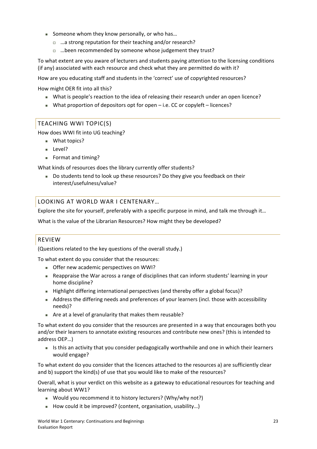- Someone whom they know personally, or who has...
	- $\Box$  ...a strong reputation for their teaching and/or research?
	- $\Box$  ... been recommended by someone whose judgement they trust?

To what extent are you aware of lecturers and students paying attention to the licensing conditions (if any) associated with each resource and check what they are permitted do with it?

How are you educating staff and students in the 'correct' use of copyrighted resources?

How might OER fit into all this?

- If What is people's reaction to the idea of releasing their research under an open licence?
- What proportion of depositors opt for open i.e. CC or copyleft licences?

#### TEACHING WWI TOPIC(S)

How does WWI fit into UG teaching?

- What topics?
- **Level?**
- Format and timing?

What kinds of resources does the library currently offer students?

Do students tend to look up these resources? Do they give you feedback on their interest/usefulness/value?

#### LOOKING AT WORLD WAR I CENTENARY...

Explore the site for yourself, preferably with a specific purpose in mind, and talk me through it...

What is the value of the Librarian Resources? How might they be developed?

#### REVIEW

(Questions related to the key questions of the overall study.)

To what extent do you consider that the resources:

- Offer new academic perspectives on WWI?
- Reappraise the War across a range of disciplines that can inform students' learning in your home discipline?
- Highlight differing international perspectives (and thereby offer a global focus)?
- Address the differing needs and preferences of your learners (incl. those with accessibility needs)?
- Are at a level of granularity that makes them reusable?

To what extent do you consider that the resources are presented in a way that encourages both you and/or their learners to annotate existing resources and contribute new ones? (this is intended to address!OEP…)

Is this an activity that you consider pedagogically worthwhile and one in which their learners would engage?

To what extent do you consider that the licences attached to the resources a) are sufficiently clear and b) support the kind(s) of use that you would like to make of the resources?

Overall, what is your verdict on this website as a gateway to educational resources for teaching and learning about WW1?

- Would you recommend it to history lecturers? (Why/why not?)
- How could it be improved? (content, organisation, usability...)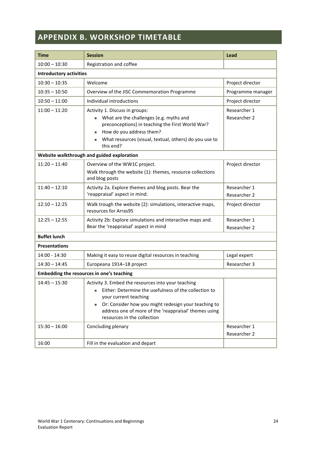# **APPENDIX B. WORKSHOP TIMETABLE**

| <b>Time</b>                    | <b>Session</b>                                                                                                                                                                                                                                                                                 | Lead                         |  |  |  |  |
|--------------------------------|------------------------------------------------------------------------------------------------------------------------------------------------------------------------------------------------------------------------------------------------------------------------------------------------|------------------------------|--|--|--|--|
| $10:00 - 10:30$                | Registration and coffee                                                                                                                                                                                                                                                                        |                              |  |  |  |  |
| <b>Introductory activities</b> |                                                                                                                                                                                                                                                                                                |                              |  |  |  |  |
| $10:30 - 10:35$                | Welcome                                                                                                                                                                                                                                                                                        | Project director             |  |  |  |  |
| $10:35 - 10:50$                | Overview of the JISC Commemoration Programme                                                                                                                                                                                                                                                   | Programme manager            |  |  |  |  |
| $10:50 - 11:00$                | Individual introductions                                                                                                                                                                                                                                                                       | Project director             |  |  |  |  |
| $11:00 - 11:20$                | Activity 1. Discuss in groups:<br>What are the challenges (e.g. myths and<br>m.<br>preconceptions) in teaching the First World War?                                                                                                                                                            | Researcher 1<br>Researcher 2 |  |  |  |  |
|                                | How do you address them?<br>What resources (visual, textual, others) do you use to<br>this end?                                                                                                                                                                                                |                              |  |  |  |  |
|                                | Website walkthrough and guided exploration                                                                                                                                                                                                                                                     |                              |  |  |  |  |
| $11:20 - 11:40$                | Overview of the WW1C project.<br>Walk through the website (1): themes, resource collections<br>and blog posts                                                                                                                                                                                  |                              |  |  |  |  |
| $11:40 - 12:10$                | Activity 2a. Explore themes and blog posts. Bear the<br>'reappraisal' aspect in mind.                                                                                                                                                                                                          | Researcher 1<br>Researcher 2 |  |  |  |  |
| $12:10 - 12:25$                | Walk trough the website (2): simulations, interactive maps,<br>resources for Arras95                                                                                                                                                                                                           | Project director             |  |  |  |  |
| $12:25 - 12:55$                | Activity 2b: Explore simulations and interactive maps and.<br>Bear the 'reappraisal' aspect in mind                                                                                                                                                                                            | Researcher 1<br>Researcher 2 |  |  |  |  |
| <b>Buffet lunch</b>            |                                                                                                                                                                                                                                                                                                |                              |  |  |  |  |
| <b>Presentations</b>           |                                                                                                                                                                                                                                                                                                |                              |  |  |  |  |
| 14:00 - 14:30                  | Making it easy to reuse digital resources in teaching                                                                                                                                                                                                                                          | Legal expert                 |  |  |  |  |
| $14:30 - 14:45$                | Europeana 1914-18 project                                                                                                                                                                                                                                                                      | Researcher 3                 |  |  |  |  |
|                                | Embedding the resources in one's teaching                                                                                                                                                                                                                                                      |                              |  |  |  |  |
| $14:45 - 15:30$                | Activity 3. Embed the resources into your teaching<br>Either: Determine the usefulness of the collection to<br>ш<br>your current teaching<br>Or: Consider how you might redesign your teaching to<br>٠<br>address one of more of the 'reappraisal' themes using<br>resources in the collection |                              |  |  |  |  |
| $15:30 - 16:00$                | Concluding plenary                                                                                                                                                                                                                                                                             | Researcher 1<br>Researcher 2 |  |  |  |  |
| 16:00                          | Fill in the evaluation and depart                                                                                                                                                                                                                                                              |                              |  |  |  |  |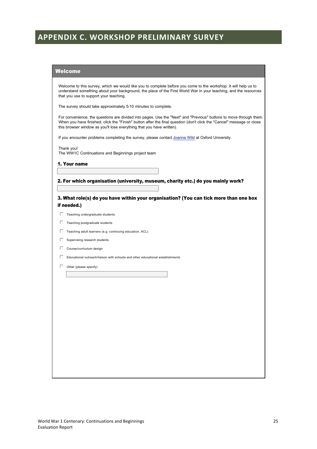# **APPENDIX C. WORKSHOP PRELIMINARY SURVEY**

#### **Welcome**

Welcome to this survey, which we would like you to complete before you come to the workshop. It will help us to understand something about your background, the place of the First World War in your teaching, and the resources that you use to support your teaching.

The survey should take approximately 5-10 minutes to complete.

For convenience, the questions are divided into pages. Use the "Next" and "Previous" buttons to move through them.<br>When you have finished, click the "Finish" button after the final question (don't click the "Cancel" messag this browser window as you'll lose everything that you have written).

If you encounter problems completing the survey, please contact Joanna Wild at Oxford University.

Thank you! The WW1C Continuations and Beginnings project team

1. Your name

#### 2. For which organisation (university, museum, charity etc.) do you mainly work?

3. What role(s) do you have within your organisation? (You can tick more than one box if needed.)

- $\Box$  Teaching undergraduate students
- Teaching postgraduate students
- Teaching adult learners (e.g. continuing education, ACL)
- $\Box$  Supervising research students
- $\Box$  Course/curriculum design
- Educational outreach/liaison with schools and other educational establishments
- $\Box$ Other (please specify)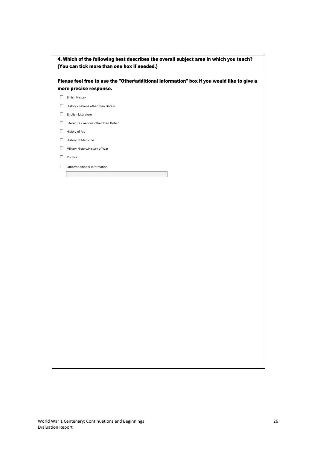| 4. Which of the following best describes the overall subject area in which you teach? |
|---------------------------------------------------------------------------------------|
| (You can tick more than one box if needed.)                                           |

Please feel free to use the "Other/additional information" box if you would like to give a more precise response.

- **British History**
- $\Box$  History nations other than Britain
- $\Box$  English Literature
- Literature nations other than Britain
- $\Box$  History of Art
- $\Box$  History of Medicine
- Military History/History of War
- $\Box$  Politics
- Other/additional information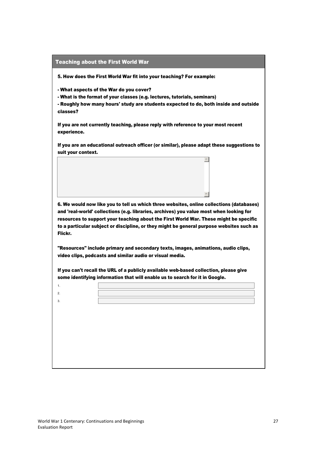#### Teaching about the First World War

5. How does the First World War fit into your teaching? For example:

- What aspects of the War do you cover?

- What is the format of your classes (e.g. lectures, tutorials, seminars)

- Roughly how many hours' study are students expected to do, both inside and outside classes?

If you are not currently teaching, please reply with reference to your most recent experience.

If you are an educational outreach officer (or similar), please adapt these suggestions to suit your context.

 $\vert \mathbb{A} \vert$ 

 $\overline{\phantom{a}}$ 

6. We would now like you to tell us which three websites, online collections (databases) and 'real-world' collections (e.g. libraries, archives) you value most when looking for resources to support your teaching about the First World War. These might be specific to a particular subject or discipline, or they might be general purpose websites such as Flickr.

"Resources" include primary and secondary texts, images, animations, audio clips, video clips, podcasts and similar audio or visual media.

If you can't recall the URL of a publicly available web-based collection, please give some identifying information that will enable us to search for it in Google.

 $\overline{2}$ .  $\overline{3}$ .

"#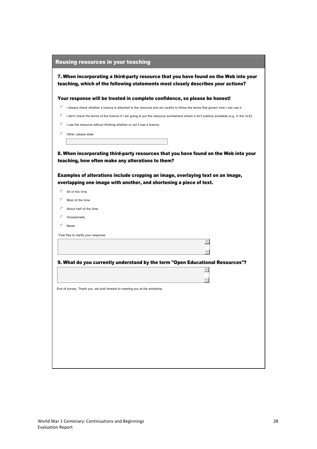|         | <b>Reusing resources in your teaching</b>                                                                                                                                 |
|---------|---------------------------------------------------------------------------------------------------------------------------------------------------------------------------|
|         | 7. When incorporating a third-party resource that you have found on the Web into your<br>teaching, which of the following statements most closely describes your actions? |
|         | Your response will be treated in complete confidence, so please be honest!                                                                                                |
| O       | I always check whether a licence is attached to the resource and am careful to follow the terms that govern how I can use it.                                             |
| O       | I don't check the terms of the licence if I am going to put the resource somewhere where it isn't publicly available (e.g. in the VLE).                                   |
| O       | I use the resource without thinking whether or not it has a licence.                                                                                                      |
| $\circ$ | Other: please state                                                                                                                                                       |
|         |                                                                                                                                                                           |
|         | Examples of alterations include cropping an image, overlaying text on an image,<br>overlapping one image with another, and shortening a piece of text.                    |
| O       | All of the time                                                                                                                                                           |
| O       | Most of the time                                                                                                                                                          |
| O       | About half of the time                                                                                                                                                    |
| O       | Occasionally                                                                                                                                                              |
| €       | Never                                                                                                                                                                     |
|         | Feel free to clarify your response:                                                                                                                                       |
|         |                                                                                                                                                                           |
|         |                                                                                                                                                                           |
|         | 9. What do you currently understand by the term "Open Educational Resources"?                                                                                             |
|         |                                                                                                                                                                           |
|         |                                                                                                                                                                           |
|         | End of survey. Thank you: we look forward to meeting you at the workshop.                                                                                                 |
|         |                                                                                                                                                                           |
|         |                                                                                                                                                                           |
|         |                                                                                                                                                                           |
|         |                                                                                                                                                                           |
|         |                                                                                                                                                                           |
|         |                                                                                                                                                                           |
|         |                                                                                                                                                                           |
|         |                                                                                                                                                                           |
|         |                                                                                                                                                                           |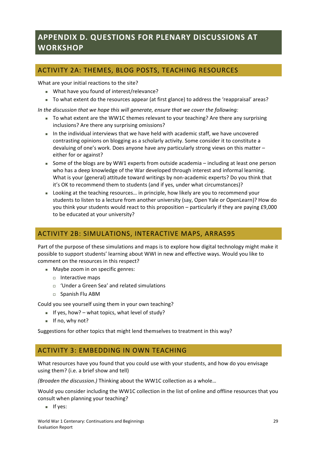# **APPENDIX D. QUESTIONS FOR PLENARY DISCUSSIONS AT WORKSHOP**

# ACTIVITY 2A: THEMES, BLOG POSTS, TEACHING RESOURCES

What are your initial reactions to the site?

- What have you found of interest/relevance?
- To what extent do the resources appear (at first glance) to address the 'reappraisal' areas?

*In the discussion that we hope this will generate, ensure that we cover the following:* 

- To what extent are the WW1C themes relevant to your teaching? Are there any surprising inclusions? Are there any surprising omissions?
- In the individual interviews that we have held with academic staff, we have uncovered contrasting opinions on blogging as a scholarly activity. Some consider it to constitute a devaluing of one's work. Does anyone have any particularly strong views on this matter – either for or against?
- Some of the blogs are by WW1 experts from outside academia including at least one person who has a deep knowledge of the War developed through interest and informal learning. What is your (general) attitude toward writings by non-academic experts? Do you think that it's OK to recommend them to students (and if yes, under what circumstances)?
- Looking at the teaching resources... in principle, how likely are you to recommend your students to listen to a lecture from another university (say, Open Yale or OpenLearn)? How do you think your students would react to this proposition – particularly if they are paying £9,000 to be educated at your university?

# ACTIVITY 2B: SIMULATIONS, INTERACTIVE MAPS, ARRAS95

Part of the purpose of these simulations and maps is to explore how digital technology might make it possible to support students' learning about WWI in new and effective ways. Would you like to comment on the resources in this respect?

- Maybe zoom in on specific genres:
	- $\Box$  Interactive maps
	- $\Box$  'Under a Green Sea' and related simulations
	- $\square$  Spanish Flu ABM

Could you see yourself using them in your own teaching?

- If yes, how? what topics, what level of study?
- $\blacksquare$  If no, why not?

Suggestions for other topics that might lend themselves to treatment in this way?

## ACTIVITY 3: EMBEDDING IN OWN TEACHING

What resources have you found that you could use with your students, and how do you envisage using them? (i.e. a brief show and tell)

*(Broaden the discussion.)* Thinking about the WW1C collection as a whole...

Would you consider including the WW1C collection in the list of online and offline resources that you consult when planning your teaching?

 $\blacksquare$  If yes: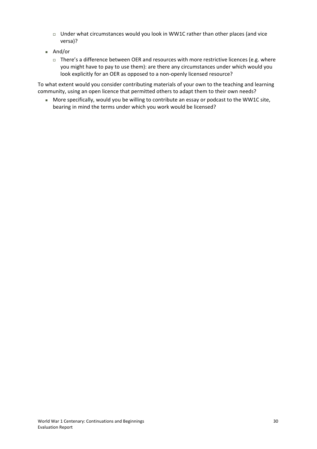- $\Box$  Under what circumstances would you look in WW1C rather than other places (and vice versa)?
- $And/or$ 
	- $\Box$  There's a difference between OER and resources with more restrictive licences (e.g. where you might have to pay to use them): are there any circumstances under which would you look explicitly for an OER as opposed to a non-openly licensed resource?

To what extent would you consider contributing materials of your own to the teaching and learning community, using an open licence that permitted others to adapt them to their own needs?

More specifically, would you be willing to contribute an essay or podcast to the WW1C site, bearing in mind the terms under which you work would be licensed?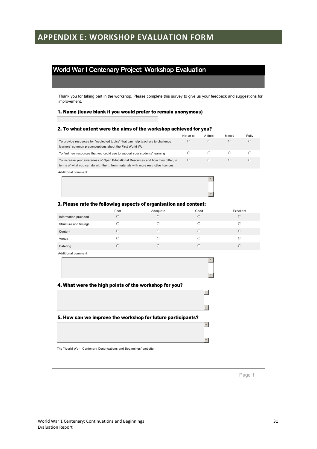# **APPENDIX E: WORKSHOP EVALUATION FORM**

# World War I Centenary Project: Workshop Evaluation

Thank you for taking part in the workshop. Please complete this survey to give us your feedback and suggestions for improvement.

#### 1. Name (leave blank if you would prefer to remain anonymous)

|                                                                                                                                                                       |         |            | Not at all | A little         | Mostly     | Fully   |
|-----------------------------------------------------------------------------------------------------------------------------------------------------------------------|---------|------------|------------|------------------|------------|---------|
| To provide resources for "neglected topics" that can help teachers to challenge<br>learners' common preconceptions about the First World War                          |         |            | $\circ$    | $\circ$          | $\circ$    | $\circ$ |
| To find new resources that you could use to support your students' learning                                                                                           |         |            | ⊙          | $\circ$          | $\odot$    | ⊙       |
| To increase your awareness of Open Educational Resources and how they differ, in<br>terms of what you can do with them, from materials with more restrictive licences |         |            | O          | $\circ$          | $\bigcirc$ | O       |
| Additional comment:                                                                                                                                                   |         |            |            |                  |            |         |
|                                                                                                                                                                       |         |            |            |                  |            |         |
| 3. Please rate the following aspects of organisation and content:                                                                                                     | Poor    | Adequate   | Good       |                  | Excellent  |         |
| Information provided                                                                                                                                                  | $\circ$ | O          | $\bigcirc$ |                  | $\odot$    |         |
| Structure and timings                                                                                                                                                 | $\circ$ | $\bigcirc$ | $\circ$    |                  | $\circ$    |         |
| Content                                                                                                                                                               | $\odot$ | $\bigcirc$ | O          |                  | $\odot$    |         |
| Venue                                                                                                                                                                 | $\circ$ | $\circ$    | ⊙          |                  | $\bigcirc$ |         |
| Catering                                                                                                                                                              | $\circ$ | $\bigcirc$ | O          |                  | $\circ$    |         |
| Additional comment:                                                                                                                                                   |         |            |            |                  |            |         |
|                                                                                                                                                                       |         |            |            |                  |            |         |
| 4. What were the high points of the workshop for you?                                                                                                                 |         |            |            | $\blacktriangle$ |            |         |
| 5. How can we improve the workshop for future participants?                                                                                                           |         |            |            | $\blacktriangle$ |            |         |

Page 1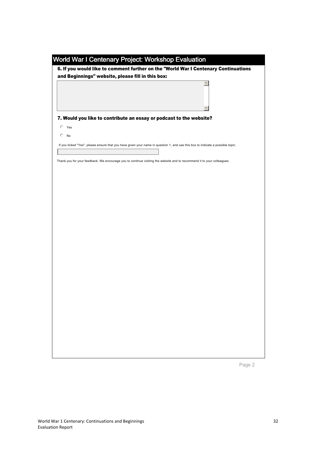|                                                   | World War I Centenary Project: Workshop Evaluation<br>6. If you would like to comment further on the "World War I Centenary Continuations |  |  |          |  |
|---------------------------------------------------|-------------------------------------------------------------------------------------------------------------------------------------------|--|--|----------|--|
| and Beginnings" website, please fill in this box: |                                                                                                                                           |  |  |          |  |
|                                                   |                                                                                                                                           |  |  | $\Delta$ |  |
|                                                   | 7. Would you like to contribute an essay or podcast to the website?                                                                       |  |  |          |  |
| O<br>Yes                                          |                                                                                                                                           |  |  |          |  |
| O<br>No                                           |                                                                                                                                           |  |  |          |  |
|                                                   | If you ticked "Yes", please ensure that you have given your name in question 1, and use this box to indicate a possible topic:            |  |  |          |  |
|                                                   | Thank you for your feedback. We encourage you to continue visiting the website and to recommend it to your colleagues.                    |  |  |          |  |
|                                                   |                                                                                                                                           |  |  |          |  |
|                                                   |                                                                                                                                           |  |  |          |  |
|                                                   |                                                                                                                                           |  |  |          |  |
|                                                   |                                                                                                                                           |  |  |          |  |
|                                                   |                                                                                                                                           |  |  |          |  |
|                                                   |                                                                                                                                           |  |  |          |  |
|                                                   |                                                                                                                                           |  |  |          |  |
|                                                   |                                                                                                                                           |  |  |          |  |
|                                                   |                                                                                                                                           |  |  |          |  |
|                                                   |                                                                                                                                           |  |  |          |  |
|                                                   |                                                                                                                                           |  |  |          |  |
|                                                   |                                                                                                                                           |  |  |          |  |
|                                                   |                                                                                                                                           |  |  |          |  |
|                                                   |                                                                                                                                           |  |  |          |  |
|                                                   |                                                                                                                                           |  |  |          |  |
|                                                   |                                                                                                                                           |  |  |          |  |
|                                                   |                                                                                                                                           |  |  |          |  |
|                                                   |                                                                                                                                           |  |  |          |  |
|                                                   |                                                                                                                                           |  |  |          |  |
|                                                   |                                                                                                                                           |  |  |          |  |
|                                                   |                                                                                                                                           |  |  |          |  |
|                                                   |                                                                                                                                           |  |  |          |  |

Page 2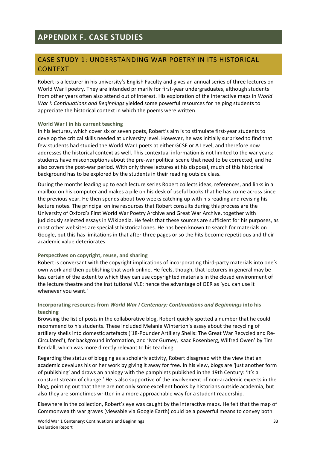# CASE STUDY 1: UNDERSTANDING WAR POETRY IN ITS HISTORICAL **CONTEXT**

Robert is a lecturer in his university's English Faculty and gives an annual series of three lectures on World War I poetry. They are intended primarily for first-year undergraduates, although students from other years often also attend out of interest. His exploration of the interactive maps in *World War I: Continuations and Beginnings yielded some powerful resources for helping students to* appreciate the historical context in which the poems were written.

#### **World War I in his current teaching**

In his lectures, which cover six or seven poets, Robert's aim is to stimulate first-year students to develop the critical skills needed at university level. However, he was initially surprised to find that few students had studied the World War I poets at either GCSE or A Level, and therefore now addresses the historical context as well. This contextual information is not limited to the war years: students have misconceptions about the pre-war political scene that need to be corrected, and he also covers the post-war period. With only three lectures at his disposal, much of this historical background has to be explored by the students in their reading outside class.

During the months leading up to each lecture series Robert collects ideas, references, and links in a mailbox on his computer and makes a pile on his desk of useful books that he has come across since the previous year. He then spends about two weeks catching up with his reading and revising his lecture notes. The principal online resources that Robert consults during this process are the University of Oxford's First World War Poetry Archive and Great War Archive, together with judiciously selected essays in Wikipedia. He feels that these sources are sufficient for his purposes, as most other websites are specialist historical ones. He has been known to search for materials on Google, but this has limitations in that after three pages or so the hits become repetitious and their academic value deteriorates.

#### Perspectives on copyright, reuse, and sharing

Robert is conversant with the copyright implications of incorporating third-party materials into one's own work and then publishing that work online. He feels, though, that lecturers in general may be less certain of the extent to which they can use copyrighted materials in the closed environment of the lecture theatre and the institutional VLE: hence the advantage of OER as 'you can use it whenever you want.'

#### Incorporating resources from *World War I Centenary: Continuations and Beginnings* into his **teaching**

Browsing the list of posts in the collaborative blog, Robert quickly spotted a number that he could recommend to his students. These included Melanie Winterton's essay about the recycling of artillery shells into domestic artefacts ('18-Pounder Artillery Shells: The Great War Recycled and Re-Circulated'), for background information, and 'Ivor Gurney, Isaac Rosenberg, Wilfred Owen' by Tim Kendall, which was more directly relevant to his teaching.

Regarding the status of blogging as a scholarly activity, Robert disagreed with the view that an academic devalues his or her work by giving it away for free. In his view, blogs are 'just another form of publishing' and draws an analogy with the pamphlets published in the 19th Century: 'it's a constant stream of change.' He is also supportive of the involvement of non-academic experts in the blog, pointing out that there are not only some excellent books by historians outside academia, but also they are sometimes written in a more approachable way for a student readership.

Elsewhere in the collection, Robert's eye was caught by the interactive maps. He felt that the map of Commonwealth war graves (viewable via Google Earth) could be a powerful means to convey both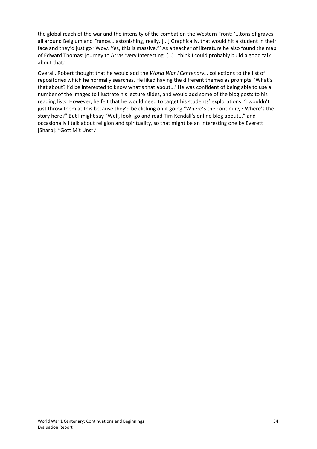the global reach of the war and the intensity of the combat on the Western Front: '...tons of graves all around Belgium and France... astonishing, really. [...] Graphically, that would hit a student in their face and they'd just go "Wow. Yes, this is massive."' As a teacher of literature he also found the map of Edward Thomas' journey to Arras 'very interesting. [...] I think I could probably build a good talk about that.'

Overall, Robert thought that he would add the *World War I Centenary...* collections to the list of repositories which he normally searches. He liked having the different themes as prompts: 'What's that about? I'd be interested to know what's that about...' He was confident of being able to use a number of the images to illustrate his lecture slides, and would add some of the blog posts to his reading lists. However, he felt that he would need to target his students' explorations: 'I wouldn't just throw them at this because they'd be clicking on it going "Where's the continuity? Where's the story here?" But I might say "Well, look, go and read Tim Kendall's online blog about..." and occasionally I talk about religion and spirituality, so that might be an interesting one by Everett [Sharp]: "Gott Mit Uns".'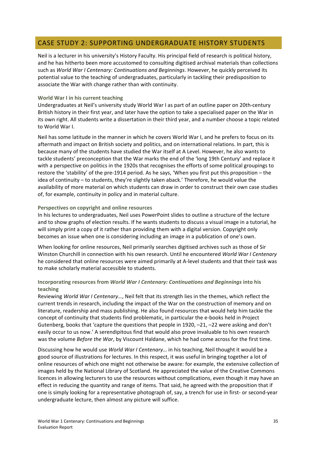## CASE STUDY 2: SUPPORTING UNDERGRADUATE HISTORY STUDENTS

Neil is a lecturer in his university's History Faculty. His principal field of research is political history, and he has hitherto been more accustomed to consulting digitised archival materials than collections such as *World War I Centenary: Continuations and Beginnings*. However, he quickly perceived its potential value to the teaching of undergraduates, particularly in tackling their predisposition to associate the War with change rather than with continuity.

#### **World War I in his current teaching**

Undergraduates at Neil's university study World War I as part of an outline paper on 20th-century British history in their first year, and later have the option to take a specialised paper on the War in its own right. All students write a dissertation in their third year, and a number choose a topic related to World War I.

Neil has some latitude in the manner in which he covers World War I, and he prefers to focus on its aftermath and impact on British society and politics, and on international relations. In part, this is because many of the students have studied the War itself at A Level. However, he also wants to tackle students' preconception that the War marks the end of the 'long 19th Century' and replace it with a perspective on politics in the 1920s that recognises the efforts of some political groupings to restore the 'stability' of the pre-1914 period. As he says, 'When you first put this proposition – the idea of continuity – to students, they're slightly taken aback.' Therefore, he would value the availability of more material on which students can draw in order to construct their own case studies of, for example, continuity in policy and in material culture.

#### Perspectives on copyright and online resources

In his lectures to undergraduates, Neil uses PowerPoint slides to outline a structure of the lecture and to show graphs of election results. If he wants students to discuss a visual image in a tutorial, he will simply print a copy of it rather than providing them with a digital version. Copyright only becomes an issue when one is considering including an image in a publication of one's own.

When looking for online resources, Neil primarily searches digitised archives such as those of Sir Winston Churchill in connection with his own research. Until he encountered *World War I Centenary* he considered that online resources were aimed primarily at A-level students and that their task was to make scholarly material accessible to students.

#### Incorporating resources from *World War I Centenary: Continuations and Beginnings* into his **teaching**

Reviewing World War I Centenary..., Neil felt that its strength lies in the themes, which reflect the current trends in research, including the impact of the War on the construction of memory and on literature, readership and mass publishing. He also found resources that would help him tackle the concept of continuity that students find problematic, in particular the e-books held in Project Gutenberg, books that 'capture the questions that people in 1920,  $-21$ ,  $-22$  were asking and don't easily occur to us now.' A serendipitous find that would also prove invaluable to his own research was the volume *Before the War*, by Viscount Haldane, which he had come across for the first time.

Discussing how he would use *World War I Centenary...* in his teaching, Neil thought it would be a good source of illustrations for lectures. In this respect, it was useful in bringing together a lot of online resources of which one might not otherwise be aware: for example, the extensive collection of images held by the National Library of Scotland. He appreciated the value of the Creative Commons licences in allowing lecturers to use the resources without complications, even though it may have an effect in reducing the quantity and range of items. That said, he agreed with the proposition that if one is simply looking for a representative photograph of, say, a trench for use in first- or second-year undergraduate lecture, then almost any picture will suffice.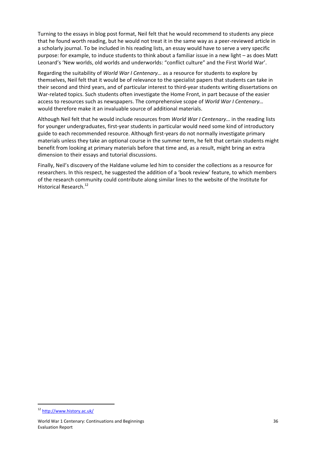Turning to the essays in blog post format, Neil felt that he would recommend to students any piece that he found worth reading, but he would not treat it in the same way as a peer-reviewed article in a scholarly journal. To be included in his reading lists, an essay would have to serve a very specific purpose: for example, to induce students to think about a familiar issue in a new light – as does Matt Leonard's 'New worlds, old worlds and underworlds: "conflict culture" and the First World War'.

Regarding the suitability of *World War I Centenary...* as a resource for students to explore by themselves, Neil felt that it would be of relevance to the specialist papers that students can take in their second and third years, and of particular interest to third-year students writing dissertations on War-related topics. Such students often investigate the Home Front, in part because of the easier access to resources such as newspapers. The comprehensive scope of *World War I Centenary...* would therefore make it an invaluable source of additional materials.

Although Neil felt that he would include resources from *World War I Centenary...* in the reading lists for younger undergraduates, first-year students in particular would need some kind of introductory guide to each recommended resource. Although first-years do not normally investigate primary materials unless they take an optional course in the summer term, he felt that certain students might benefit from looking at primary materials before that time and, as a result, might bring an extra dimension to their essays and tutorial discussions.

Finally, Neil's discovery of the Haldane volume led him to consider the collections as a resource for researchers. In this respect, he suggested the addition of a 'book review' feature, to which members of the research community could contribute along similar lines to the website of the Institute for Historical Research.<sup>12</sup>

<sup>12</sup> <http://www.history.ac.uk/>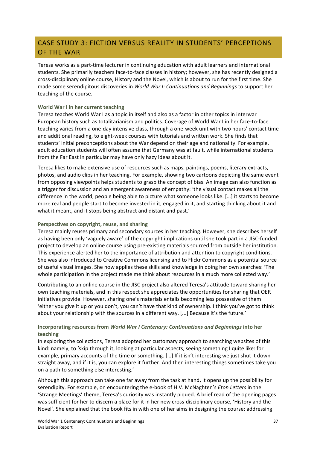# CASE STUDY 3: FICTION VERSUS REALITY IN STUDENTS' PERCEPTIONS OF THE WAR

Teresa works as a part-time lecturer in continuing education with adult learners and international students. She primarily teachers face-to-face classes in history; however, she has recently designed a cross-disciplinary online course, History and the Novel, which is about to run for the first time. She made some serendipitous discoveries in *World War I: Continuations and Beginnings* to support her teaching of the course.

#### **World War I in her current teaching**

Teresa teaches World War I as a topic in itself and also as a factor in other topics in interwar European history such as totalitarianism and politics. Coverage of World War I in her face-to-face teaching varies from a one-day intensive class, through a one-week unit with two hours' contact time and additional reading, to eight-week courses with tutorials and written work. She finds that students' initial preconceptions about the War depend on their age and nationality. For example, adult education students will often assume that Germany was at fault, while international students from the Far East in particular may have only hazy ideas about it.

Teresa likes to make extensive use of resources such as maps, paintings, poems, literary extracts, photos, and audio clips in her teaching. For example, showing two cartoons depicting the same event from opposing viewpoints helps students to grasp the concept of bias. An image can also function as a trigger for discussion and an emergent awareness of empathy: 'the visual contact makes all the difference in the world; people being able to picture what someone looks like. [...] it starts to become more real and people start to become invested in it, engaged in it, and starting thinking about it and what it meant, and it stops being abstract and distant and past.'

#### Perspectives on copyright, reuse, and sharing

Teresa mainly reuses primary and secondary sources in her teaching. However, she describes herself as having been only 'vaguely aware' of the copyright implications until she took part in a JISC-funded project to develop an online course using pre-existing materials sourced from outside her institution. This experience alerted her to the importance of attribution and attention to copyright conditions. She was also introduced to Creative Commons licensing and to Flickr Commons as a potential source of useful visual images. She now applies these skills and knowledge in doing her own searches: 'The whole participation in the project made me think about resources in a much more collected way.'

Contributing to an online course in the JISC project also altered Teresa's attitude toward sharing her own teaching materials, and in this respect she appreciates the opportunities for sharing that OER initiatives provide. However, sharing one's materials entails becoming less possessive of them: 'either you give it up or you don't, you can't have that kind of ownership. I think you've got to think about your relationship with the sources in a different way. [...] Because it's the future.'

#### Incorporating resources from *World War I Centenary: Continuations and Beginnings* into her **teaching**

In exploring the collections, Teresa adopted her customary approach to searching websites of this kind: namely, to 'skip through it, looking at particular aspects, seeing something I quite like: for example, primary accounts of the time or something. [...] If it isn't interesting we just shut it down straight away, and if it is, you can explore it further. And then interesting things sometimes take you on a path to something else interesting.'

Although this approach can take one far away from the task at hand, it opens up the possibility for serendipity. For example, on encountering the e-book of H.V. McNaghten's *Eton Letters* in the 'Strange Meetings' theme, Teresa's curiosity was instantly piqued. A brief read of the opening pages was sufficient for her to discern a place for it in her new cross-disciplinary course, 'History and the Novel'. She explained that the book fits in with one of her aims in designing the course: addressing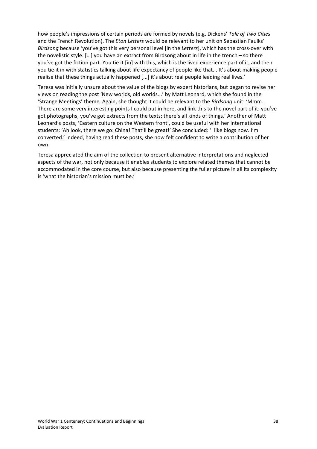how people's impressions of certain periods are formed by novels (e.g. Dickens' Tale of Two Cities and the French Revolution). The *Eton Letters* would be relevant to her unit on Sebastian Faulks' *Birdsong* because 'you've got this very personal level [in the *Letters*], which has the cross-over with the novelistic style. […] you have an extract from Birdsong about in life in the trench – so there you've got the fiction part. You tie it [in] with this, which is the lived experience part of it, and then you tie it in with statistics talking about life expectancy of people like that... It's about making people realise that these things actually happened [...] it's about real people leading real lives.'

Teresa was initially unsure about the value of the blogs by expert historians, but began to revise her views on reading the post 'New worlds, old worlds...' by Matt Leonard, which she found in the 'Strange Meetings' theme. Again, she thought it could be relevant to the *Birdsong* unit: 'Mmm... There are some very interesting points I could put in here, and link this to the novel part of it: you've got photographs; you've got extracts from the texts; there's all kinds of things.' Another of Matt Leonard's posts, 'Eastern culture on the Western front', could be useful with her international students: 'Ah look, there we go: China! That'll be great!' She concluded: 'I like blogs now. I'm converted.' Indeed, having read these posts, she now felt confident to write a contribution of her own.

Teresa appreciated the aim of the collection to present alternative interpretations and neglected aspects of the war, not only because it enables students to explore related themes that cannot be accommodated in the core course, but also because presenting the fuller picture in all its complexity is 'what the historian's mission must be.'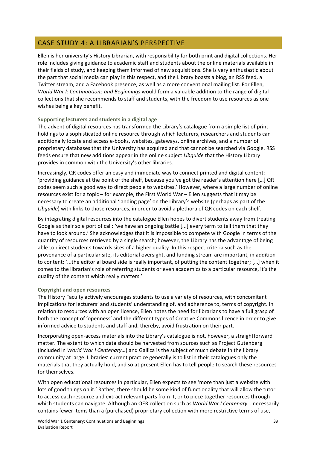# CASE STUDY 4: A LIBRARIAN'S PERSPECTIVE

Ellen is her university's History Librarian, with responsibility for both print and digital collections. Her role includes giving guidance to academic staff and students about the online materials available in their fields of study, and keeping them informed of new acquisitions. She is very enthusiastic about the part that social media can play in this respect, and the Library boasts a blog, an RSS feed, a Twitter stream, and a Facebook presence, as well as a more conventional mailing list. For Ellen, *World War I: Continuations and Beginnings* would form a valuable addition to the range of digital collections that she recommends to staff and students, with the freedom to use resources as one wishes being a key benefit.

#### Supporting lecturers and students in a digital age

The advent of digital resources has transformed the Library's catalogue from a simple list of print holdings to a sophisticated online resource through which lecturers, researchers and students can additionally locate and access e-books, websites, gateways, online archives, and a number of proprietary databases that the University has acquired and that cannot be searched via Google. RSS feeds ensure that new additions appear in the online subject *Libguide* that the History Library provides in common with the University's other libraries.

Increasingly, QR codes offer an easy and immediate way to connect printed and digital content: 'providing guidance at the point of the shelf, because you've got the reader's attention here [...] QR codes seem such a good way to direct people to websites.' However, where a large number of online resources exist for a topic – for example, the First World War – Ellen suggests that it may be necessary to create an additional 'landing page' on the Library's website (perhaps as part of the *Libguide*) with links to those resources, in order to avoid a plethora of QR codes on each shelf.

By integrating digital resources into the catalogue Ellen hopes to divert students away from treating Google as their sole port of call: 'we have an ongoing battle [...] every term to tell them that they have to look around.' She acknowledges that it is impossible to compete with Google in terms of the quantity of resources retrieved by a single search; however, the Library has the advantage of being able to direct students towards sites of a higher quality. In this respect criteria such as the provenance of a particular site, its editorial oversight, and funding stream are important, in addition to content: '...the editorial board side is really important, of putting the content together; [...] when it comes to the librarian's role of referring students or even academics to a particular resource, it's the quality of the content which really matters.'

#### **Copyright and open resources**

The History Faculty actively encourages students to use a variety of resources, with concomitant implications for lecturers' and students' understanding of, and adherence to, terms of copyright. In relation to resources with an open licence, Ellen notes the need for librarians to have a full grasp of both the concept of 'openness' and the different types of Creative Commons licence in order to give informed advice to students and staff and, thereby, avoid frustration on their part.

Incorporating open-access materials into the Library's catalogue is not, however, a straightforward matter. The extent to which data should be harvested from sources such as Project Gutenberg (included in *World War I Centenary...*) and Gallica is the subject of much debate in the library community at large. Libraries' current practice generally is to list in their catalogues only the materials that they actually hold, and so at present Ellen has to tell people to search these resources for themselves.

With open educational resources in particular, Ellen expects to see 'more than just a website with lots of good things on it.' Rather, there should be some kind of functionality that will allow the tutor to access each resource and extract relevant parts from it, or to piece together resources through which students can navigate. Although an OER collection such as *World War I Centenary...* necessarily contains fewer items than a (purchased) proprietary collection with more restrictive terms of use,